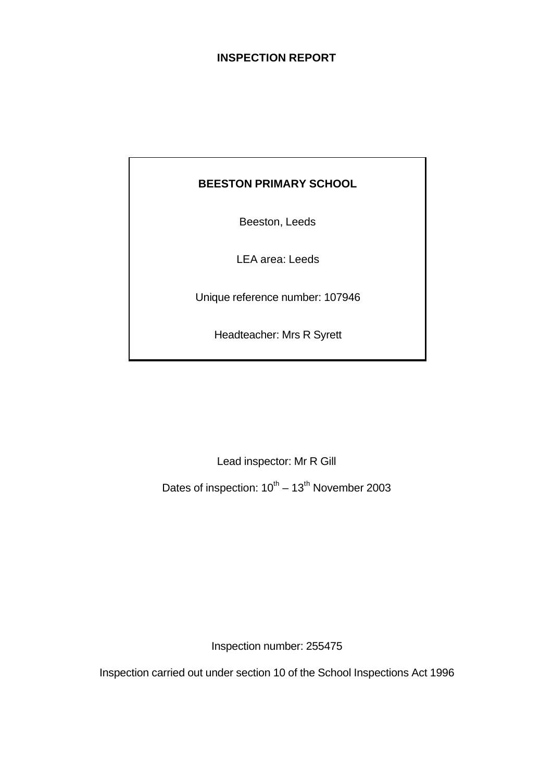# **INSPECTION REPORT**

# **BEESTON PRIMARY SCHOOL**

Beeston, Leeds

LEA area: Leeds

Unique reference number: 107946

Headteacher: Mrs R Syrett

Lead inspector: Mr R Gill

Dates of inspection:  $10^{th} - 13^{th}$  November 2003

Inspection number: 255475

Inspection carried out under section 10 of the School Inspections Act 1996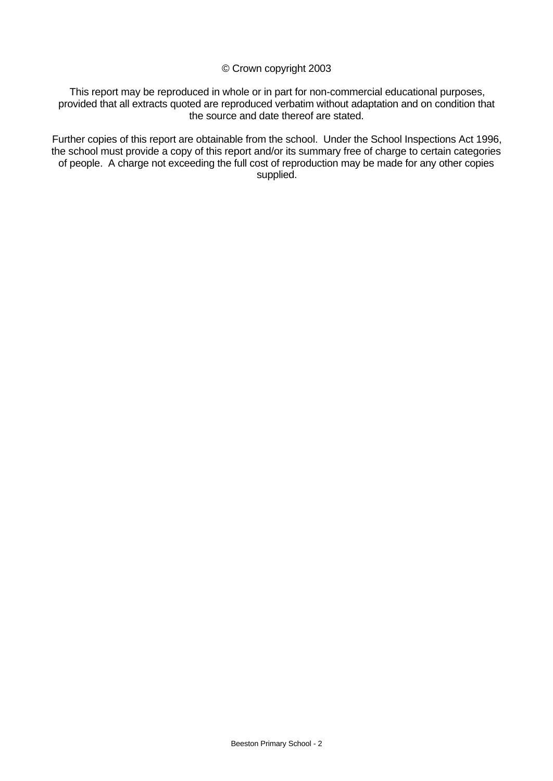#### © Crown copyright 2003

This report may be reproduced in whole or in part for non-commercial educational purposes, provided that all extracts quoted are reproduced verbatim without adaptation and on condition that the source and date thereof are stated.

Further copies of this report are obtainable from the school. Under the School Inspections Act 1996, the school must provide a copy of this report and/or its summary free of charge to certain categories of people. A charge not exceeding the full cost of reproduction may be made for any other copies supplied.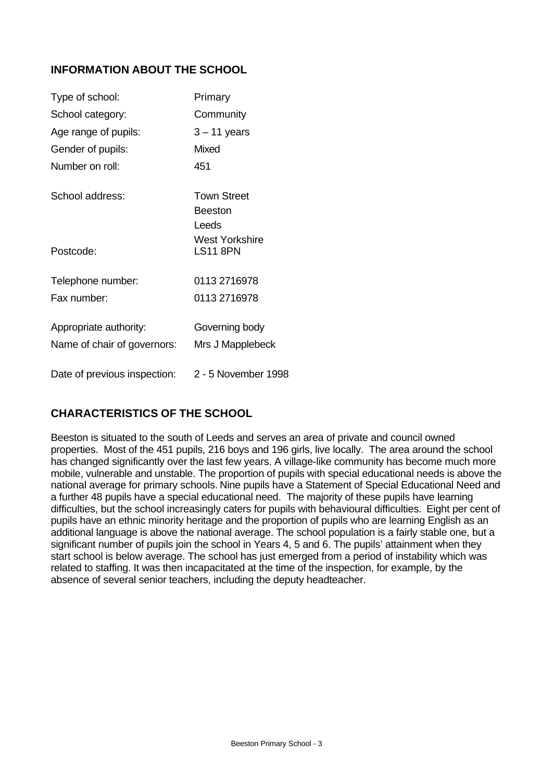# **INFORMATION ABOUT THE SCHOOL**

| Type of school:              | Primary                                |
|------------------------------|----------------------------------------|
| School category:             | Community                              |
| Age range of pupils:         | $3 - 11$ years                         |
| Gender of pupils:            | <b>Mixed</b>                           |
| Number on roll:              | 451                                    |
| School address:              | <b>Town Street</b><br>Beeston<br>Leeds |
| Postcode:                    | West Yorkshire<br><b>LS11 8PN</b>      |
| Telephone number:            | 0113 2716978                           |
| Fax number:                  | 0113 2716978                           |
| Appropriate authority:       | Governing body                         |
| Name of chair of governors:  | Mrs J Mapplebeck                       |
| Date of previous inspection: | 2 - 5 November 1998                    |

# **CHARACTERISTICS OF THE SCHOOL**

Beeston is situated to the south of Leeds and serves an area of private and council owned properties. Most of the 451 pupils, 216 boys and 196 girls, live locally. The area around the school has changed significantly over the last few years. A village-like community has become much more mobile, vulnerable and unstable. The proportion of pupils with special educational needs is above the national average for primary schools. Nine pupils have a Statement of Special Educational Need and a further 48 pupils have a special educational need.The majority of these pupils have learning difficulties, but the school increasingly caters for pupils with behavioural difficulties.Eight per cent of pupils have an ethnic minority heritage and the proportion of pupils who are learning English as an additional language is above the national average. The school population is a fairly stable one, but a significant number of pupils join the school in Years 4, 5 and 6. The pupils' attainment when they start school is below average. The school has just emerged from a period of instability which was related to staffing. It was then incapacitated at the time of the inspection, for example, by the absence of several senior teachers, including the deputy headteacher.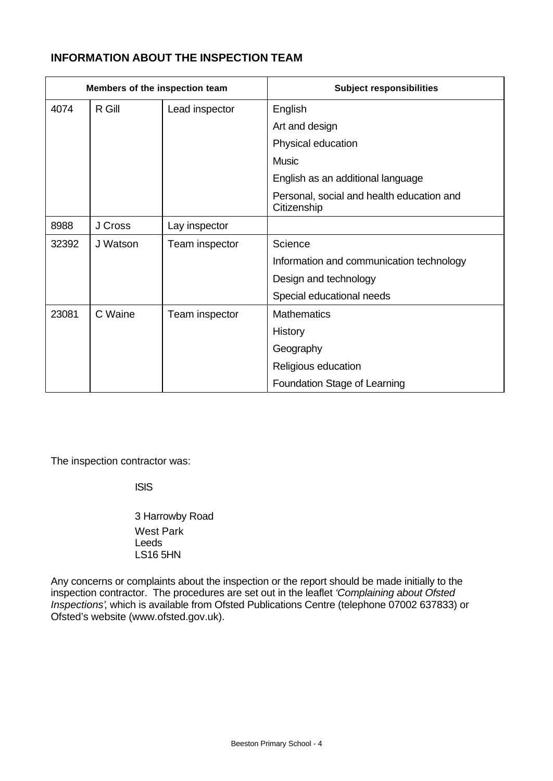# **INFORMATION ABOUT THE INSPECTION TEAM**

| Members of the inspection team |          |                | <b>Subject responsibilities</b>                          |
|--------------------------------|----------|----------------|----------------------------------------------------------|
| 4074                           | R Gill   | Lead inspector | English                                                  |
|                                |          |                | Art and design                                           |
|                                |          |                | Physical education                                       |
|                                |          |                | <b>Music</b>                                             |
|                                |          |                | English as an additional language                        |
|                                |          |                | Personal, social and health education and<br>Citizenship |
| 8988                           | J Cross  | Lay inspector  |                                                          |
| 32392                          | J Watson | Team inspector | Science                                                  |
|                                |          |                | Information and communication technology                 |
|                                |          |                | Design and technology                                    |
|                                |          |                | Special educational needs                                |
| 23081                          | C Waine  | Team inspector | <b>Mathematics</b>                                       |
|                                |          |                | History                                                  |
|                                |          |                | Geography                                                |
|                                |          |                | Religious education                                      |
|                                |          |                | Foundation Stage of Learning                             |

The inspection contractor was:

ISIS

3 Harrowby Road West Park Leeds LS16 5HN

Any concerns or complaints about the inspection or the report should be made initially to the inspection contractor. The procedures are set out in the leaflet *'Complaining about Ofsted Inspections'*, which is available from Ofsted Publications Centre (telephone 07002 637833) or Ofsted's website (www.ofsted.gov.uk).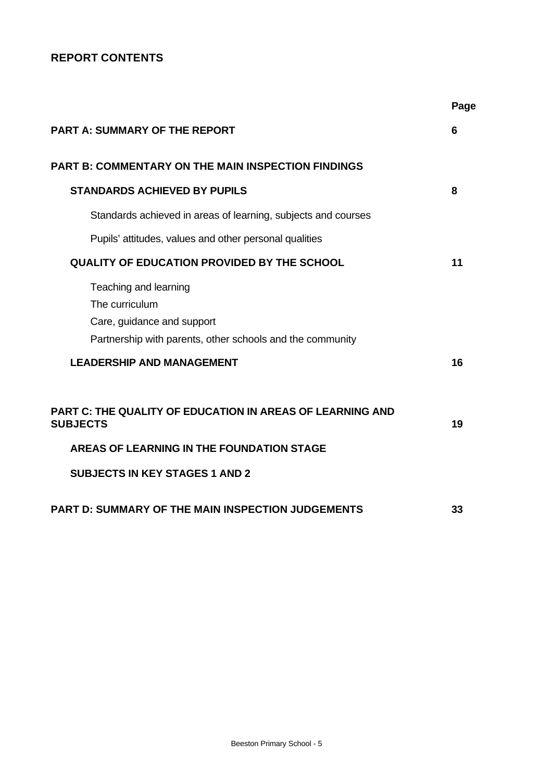# **REPORT CONTENTS**

|                                                                                                                                    | Page |
|------------------------------------------------------------------------------------------------------------------------------------|------|
| <b>PART A: SUMMARY OF THE REPORT</b>                                                                                               | 6    |
| <b>PART B: COMMENTARY ON THE MAIN INSPECTION FINDINGS</b>                                                                          |      |
| <b>STANDARDS ACHIEVED BY PUPILS</b>                                                                                                | 8    |
| Standards achieved in areas of learning, subjects and courses                                                                      |      |
| Pupils' attitudes, values and other personal qualities                                                                             |      |
| <b>QUALITY OF EDUCATION PROVIDED BY THE SCHOOL</b>                                                                                 | 11   |
| Teaching and learning<br>The curriculum<br>Care, guidance and support<br>Partnership with parents, other schools and the community |      |
| <b>LEADERSHIP AND MANAGEMENT</b>                                                                                                   | 16   |
| <b>PART C: THE QUALITY OF EDUCATION IN AREAS OF LEARNING AND</b><br><b>SUBJECTS</b>                                                | 19   |
| AREAS OF LEARNING IN THE FOUNDATION STAGE                                                                                          |      |
| <b>SUBJECTS IN KEY STAGES 1 AND 2</b>                                                                                              |      |
| <b>PART D: SUMMARY OF THE MAIN INSPECTION JUDGEMENTS</b>                                                                           | 33   |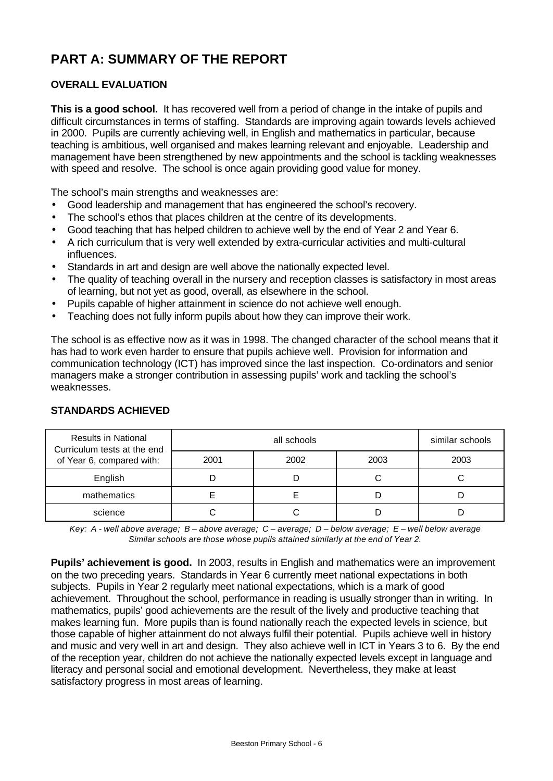# **PART A: SUMMARY OF THE REPORT**

# **OVERALL EVALUATION**

**This is a good school.**It has recovered well from a period of change in the intake of pupils and difficult circumstances in terms of staffing. Standards are improving again towards levels achieved in 2000. Pupils are currently achieving well, in English and mathematics in particular, because teaching is ambitious, well organised and makes learning relevant and enjoyable. Leadership and management have been strengthened by new appointments and the school is tackling weaknesses with speed and resolve. The school is once again providing good value for money.

The school's main strengths and weaknesses are:

- Good leadership and management that has engineered the school's recovery.
- The school's ethos that places children at the centre of its developments.
- Good teaching that has helped children to achieve well by the end of Year 2 and Year 6.
- A rich curriculum that is very well extended by extra-curricular activities and multi-cultural influences.
- Standards in art and design are well above the nationally expected level.
- The quality of teaching overall in the nursery and reception classes is satisfactory in most areas of learning, but not yet as good, overall, as elsewhere in the school.
- Pupils capable of higher attainment in science do not achieve well enough.
- Teaching does not fully inform pupils about how they can improve their work.

The school is as effective now as it was in 1998. The changed character of the school means that it has had to work even harder to ensure that pupils achieve well. Provision for information and communication technology (ICT) has improved since the last inspection. Co-ordinators and senior managers make a stronger contribution in assessing pupils' work and tackling the school's weaknesses.

| <b>Results in National</b><br>Curriculum tests at the end |      | similar schools |      |      |
|-----------------------------------------------------------|------|-----------------|------|------|
| of Year 6, compared with:                                 | 2001 | 2002            | 2003 | 2003 |
| English                                                   |      |                 |      |      |
| mathematics                                               |      |                 |      |      |
| science                                                   |      |                 |      |      |

## **STANDARDS ACHIEVED**

*Key: A - well above average; B – above average; C – average; D – below average; E – well below average Similar schools are those whose pupils attained similarly at the end of Year 2.*

**Pupils' achievement is good.** In 2003, results in English and mathematics were an improvement on the two preceding years. Standards in Year 6 currently meet national expectations in both subjects. Pupils in Year 2 regularly meet national expectations, which is a mark of good achievement. Throughout the school, performance in reading is usually stronger than in writing. In mathematics, pupils' good achievements are the result of the lively and productive teaching that makes learning fun. More pupils than is found nationally reach the expected levels in science, but those capable of higher attainment do not always fulfil their potential. Pupils achieve well in history and music and very well in art and design. They also achieve well in ICT in Years 3 to 6. By the end of the reception year, children do not achieve the nationally expected levels except in language and literacy and personal social and emotional development. Nevertheless, they make at least satisfactory progress in most areas of learning.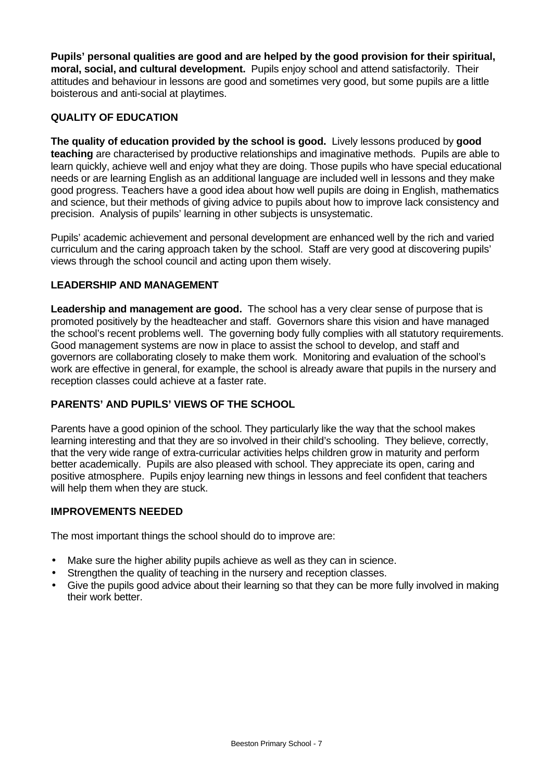**Pupils' personal qualities are good and are helped by the good provision for their spiritual, moral, social, and cultural development.**Pupils enjoy school and attend satisfactorily. Their attitudes and behaviour in lessons are good and sometimes very good, but some pupils are a little boisterous and anti-social at playtimes.

## **QUALITY OF EDUCATION**

**The quality of education provided by the school is good.** Lively lessons produced by **good teaching** are characterised by productive relationships and imaginative methods. Pupils are able to learn quickly, achieve well and enjoy what they are doing. Those pupils who have special educational needs or are learning English as an additional language are included well in lessons and they make good progress. Teachers have a good idea about how well pupils are doing in English, mathematics and science, but their methods of giving advice to pupils about how to improve lack consistency and precision. Analysis of pupils' learning in other subjects is unsystematic.

Pupils' academic achievement and personal development are enhanced well by the rich and varied curriculum and the caring approach taken by the school. Staff are very good at discovering pupils' views through the school council and acting upon them wisely.

## **LEADERSHIP AND MANAGEMENT**

**Leadership and management are good.** The school has a very clear sense of purpose that is promoted positively by the headteacher and staff. Governors share this vision and have managed the school's recent problems well. The governing body fully complies with all statutory requirements. Good management systems are now in place to assist the school to develop, and staff and governors are collaborating closely to make them work. Monitoring and evaluation of the school's work are effective in general, for example, the school is already aware that pupils in the nursery and reception classes could achieve at a faster rate.

## **PARENTS' AND PUPILS' VIEWS OF THE SCHOOL**

Parents have a good opinion of the school. They particularly like the way that the school makes learning interesting and that they are so involved in their child's schooling. They believe, correctly, that the very wide range of extra-curricular activities helps children grow in maturity and perform better academically. Pupils are also pleased with school. They appreciate its open, caring and positive atmosphere. Pupils enjoy learning new things in lessons and feel confident that teachers will help them when they are stuck.

## **IMPROVEMENTS NEEDED**

The most important things the school should do to improve are:

- Make sure the higher ability pupils achieve as well as they can in science.
- Strengthen the quality of teaching in the nursery and reception classes.
- Give the pupils good advice about their learning so that they can be more fully involved in making their work better.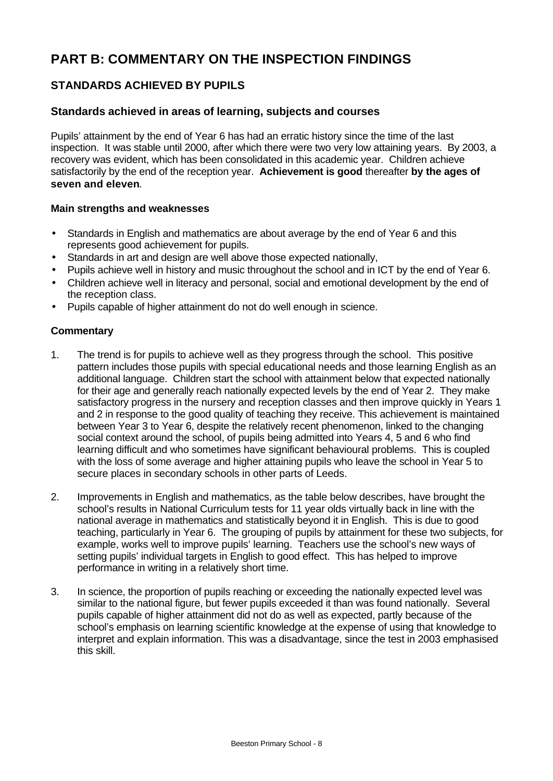# **PART B: COMMENTARY ON THE INSPECTION FINDINGS**

# **STANDARDS ACHIEVED BY PUPILS**

#### **Standards achieved in areas of learning, subjects and courses**

Pupils' attainment by the end of Year 6 has had an erratic history since the time of the last inspection. It was stable until 2000, after which there were two very low attaining years. By 2003, a recovery was evident, which has been consolidated in this academic year. Children achieve satisfactorily by the end of the reception year. **Achievement is good** thereafter **by the ages of seven and eleven**.

#### **Main strengths and weaknesses**

- Standards in English and mathematics are about average by the end of Year 6 and this represents good achievement for pupils.
- Standards in art and design are well above those expected nationally,
- Pupils achieve well in history and music throughout the school and in ICT by the end of Year 6.
- Children achieve well in literacy and personal, social and emotional development by the end of the reception class.
- Pupils capable of higher attainment do not do well enough in science.

- 1. The trend is for pupils to achieve well as they progress through the school. This positive pattern includes those pupils with special educational needs and those learning English as an additional language. Children start the school with attainment below that expected nationally for their age and generally reach nationally expected levels by the end of Year 2. They make satisfactory progress in the nursery and reception classes and then improve quickly in Years 1 and 2 in response to the good quality of teaching they receive. This achievement is maintained between Year 3 to Year 6, despite the relatively recent phenomenon, linked to the changing social context around the school, of pupils being admitted into Years 4, 5 and 6 who find learning difficult and who sometimes have significant behavioural problems. This is coupled with the loss of some average and higher attaining pupils who leave the school in Year 5 to secure places in secondary schools in other parts of Leeds.
- 2. Improvements in English and mathematics, as the table below describes, have brought the school's results in National Curriculum tests for 11 year olds virtually back in line with the national average in mathematics and statistically beyond it in English. This is due to good teaching, particularly in Year 6. The grouping of pupils by attainment for these two subjects, for example, works well to improve pupils' learning. Teachers use the school's new ways of setting pupils' individual targets in English to good effect. This has helped to improve performance in writing in a relatively short time.
- 3. In science, the proportion of pupils reaching or exceeding the nationally expected level was similar to the national figure, but fewer pupils exceeded it than was found nationally. Several pupils capable of higher attainment did not do as well as expected, partly because of the school's emphasis on learning scientific knowledge at the expense of using that knowledge to interpret and explain information. This was a disadvantage, since the test in 2003 emphasised this skill.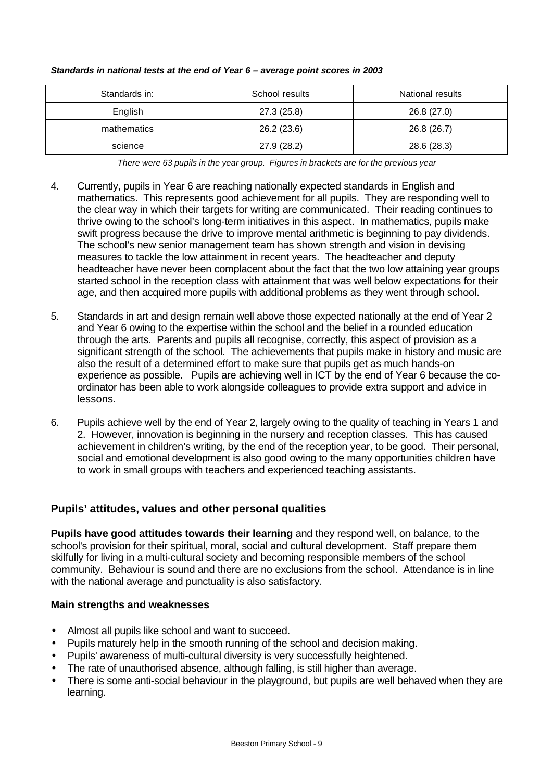| Standards in: | School results | National results |
|---------------|----------------|------------------|
| English       | 27.3 (25.8)    | 26.8 (27.0)      |
| mathematics   | 26.2 (23.6)    | 26.8 (26.7)      |
| science       | 27.9 (28.2)    | 28.6 (28.3)      |

#### *Standards in national tests at the end of Year 6 – average point scores in 2003*

*There were 63 pupils in the year group. Figures in brackets are for the previous year*

- 4. Currently, pupils in Year 6 are reaching nationally expected standards in English and mathematics. This represents good achievement for all pupils. They are responding well to the clear way in which their targets for writing are communicated. Their reading continues to thrive owing to the school's long-term initiatives in this aspect. In mathematics, pupils make swift progress because the drive to improve mental arithmetic is beginning to pay dividends. The school's new senior management team has shown strength and vision in devising measures to tackle the low attainment in recent years. The headteacher and deputy headteacher have never been complacent about the fact that the two low attaining year groups started school in the reception class with attainment that was well below expectations for their age, and then acquired more pupils with additional problems as they went through school.
- 5. Standards in art and design remain well above those expected nationally at the end of Year 2 and Year 6 owing to the expertise within the school and the belief in a rounded education through the arts. Parents and pupils all recognise, correctly, this aspect of provision as a significant strength of the school. The achievements that pupils make in history and music are also the result of a determined effort to make sure that pupils get as much hands-on experience as possible. Pupils are achieving well in ICT by the end of Year 6 because the coordinator has been able to work alongside colleagues to provide extra support and advice in lessons.
- 6. Pupils achieve well by the end of Year 2, largely owing to the quality of teaching in Years 1 and 2. However, innovation is beginning in the nursery and reception classes. This has caused achievement in children's writing, by the end of the reception year, to be good. Their personal, social and emotional development is also good owing to the many opportunities children have to work in small groups with teachers and experienced teaching assistants.

# **Pupils' attitudes, values and other personal qualities**

**Pupils have good attitudes towards their learning** and they respond well, on balance, to the school's provision for their spiritual, moral, social and cultural development. Staff prepare them skilfully for living in a multi-cultural society and becoming responsible members of the school community. Behaviour is sound and there are no exclusions from the school. Attendance is in line with the national average and punctuality is also satisfactory.

#### **Main strengths and weaknesses**

- Almost all pupils like school and want to succeed.
- Pupils maturely help in the smooth running of the school and decision making.
- Pupils' awareness of multi-cultural diversity is very successfully heightened.
- The rate of unauthorised absence, although falling, is still higher than average.
- There is some anti-social behaviour in the playground, but pupils are well behaved when they are learning.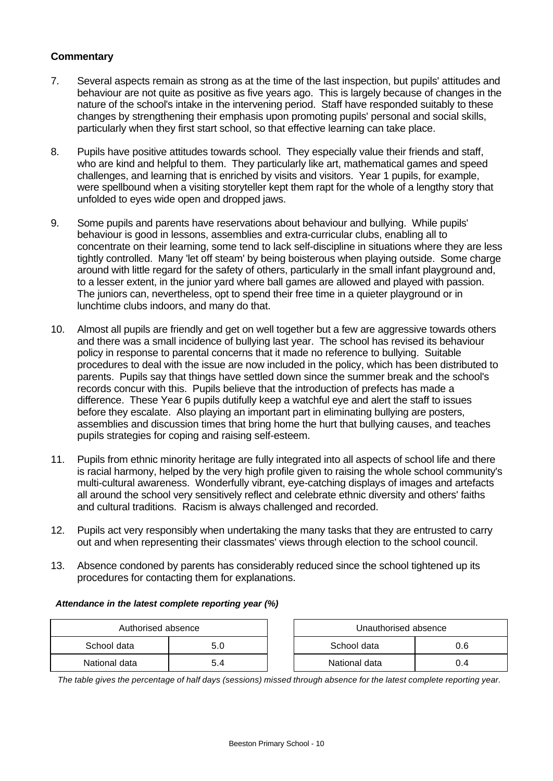#### **Commentary**

- 7. Several aspects remain as strong as at the time of the last inspection, but pupils' attitudes and behaviour are not quite as positive as five years ago. This is largely because of changes in the nature of the school's intake in the intervening period. Staff have responded suitably to these changes by strengthening their emphasis upon promoting pupils' personal and social skills, particularly when they first start school, so that effective learning can take place.
- 8. Pupils have positive attitudes towards school. They especially value their friends and staff, who are kind and helpful to them. They particularly like art, mathematical games and speed challenges, and learning that is enriched by visits and visitors. Year 1 pupils, for example, were spellbound when a visiting storyteller kept them rapt for the whole of a lengthy story that unfolded to eyes wide open and dropped jaws.
- 9. Some pupils and parents have reservations about behaviour and bullying. While pupils' behaviour is good in lessons, assemblies and extra-curricular clubs, enabling all to concentrate on their learning, some tend to lack self-discipline in situations where they are less tightly controlled. Many 'let off steam' by being boisterous when playing outside. Some charge around with little regard for the safety of others, particularly in the small infant playground and, to a lesser extent, in the junior yard where ball games are allowed and played with passion. The juniors can, nevertheless, opt to spend their free time in a quieter playground or in lunchtime clubs indoors, and many do that.
- 10. Almost all pupils are friendly and get on well together but a few are aggressive towards others and there was a small incidence of bullying last year. The school has revised its behaviour policy in response to parental concerns that it made no reference to bullying. Suitable procedures to deal with the issue are now included in the policy, which has been distributed to parents. Pupils say that things have settled down since the summer break and the school's records concur with this. Pupils believe that the introduction of prefects has made a difference. These Year 6 pupils dutifully keep a watchful eye and alert the staff to issues before they escalate. Also playing an important part in eliminating bullying are posters, assemblies and discussion times that bring home the hurt that bullying causes, and teaches pupils strategies for coping and raising self-esteem.
- 11. Pupils from ethnic minority heritage are fully integrated into all aspects of school life and there is racial harmony, helped by the very high profile given to raising the whole school community's multi-cultural awareness. Wonderfully vibrant, eye-catching displays of images and artefacts all around the school very sensitively reflect and celebrate ethnic diversity and others' faiths and cultural traditions. Racism is always challenged and recorded.
- 12. Pupils act very responsibly when undertaking the many tasks that they are entrusted to carry out and when representing their classmates' views through election to the school council.
- 13. Absence condoned by parents has considerably reduced since the school tightened up its procedures for contacting them for explanations.

#### *Attendance in the latest complete reporting year (%)*

| Authorised absence |   |  | Unauthorised absence |     |
|--------------------|---|--|----------------------|-----|
| School data        |   |  | School data          | ა.6 |
| National data      | 4 |  | National data        | J.4 |

*The table gives the percentage of half days (sessions) missed through absence for the latest complete reporting year.*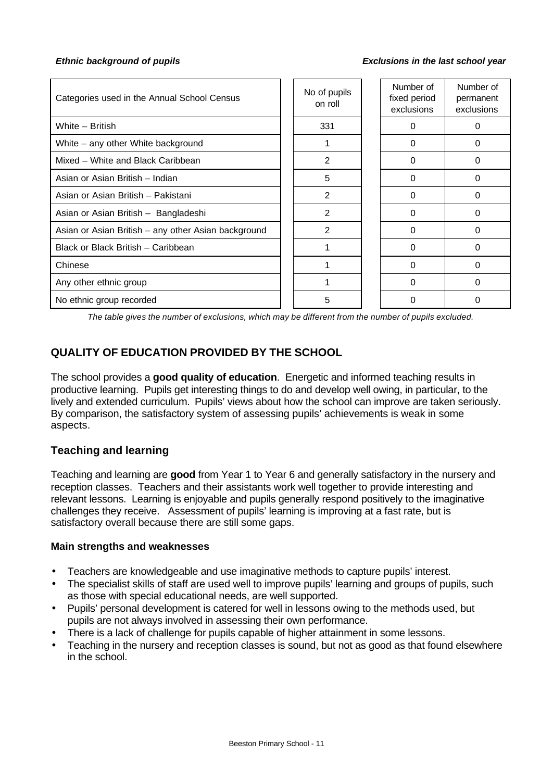#### *Ethnic background of pupils Exclusions in the last school year*

| Categories used in the Annual School Census         | No of pupils<br>on roll | Number of<br>fixed period<br>exclusions | Number of<br>permanent<br>exclusions |
|-----------------------------------------------------|-------------------------|-----------------------------------------|--------------------------------------|
| White - British                                     | 331                     | 0                                       | 0                                    |
| White – any other White background                  |                         | $\Omega$                                | $\Omega$                             |
| Mixed - White and Black Caribbean                   | 2                       | $\Omega$                                | 0                                    |
| Asian or Asian British - Indian                     | 5                       | $\Omega$                                | 0                                    |
| Asian or Asian British - Pakistani                  | 2                       | $\Omega$                                | 0                                    |
| Asian or Asian British - Bangladeshi                | 2                       | $\Omega$                                | 0                                    |
| Asian or Asian British - any other Asian background | 2                       | $\Omega$                                | 0                                    |
| Black or Black British - Caribbean                  |                         | $\Omega$                                | $\Omega$                             |
| Chinese                                             |                         | $\Omega$                                | $\Omega$                             |
| Any other ethnic group                              |                         | $\Omega$                                | 0                                    |
| No ethnic group recorded                            | 5                       | 0                                       | 0                                    |

*The table gives the number of exclusions, which may be different from the number of pupils excluded.*

# **QUALITY OF EDUCATION PROVIDED BY THE SCHOOL**

The school provides a **good quality of education**. Energetic and informed teaching results in productive learning. Pupils get interesting things to do and develop well owing, in particular, to the lively and extended curriculum.Pupils' views about how the school can improve are taken seriously. By comparison, the satisfactory system of assessing pupils' achievements is weak in some aspects.

## **Teaching and learning**

Teaching and learning are **good** from Year 1 to Year 6 and generally satisfactory in the nursery and reception classes. Teachers and their assistants work well together to provide interesting and relevant lessons. Learning is enjoyable and pupils generally respond positively to the imaginative challenges they receive. Assessment of pupils' learning is improving at a fast rate, but is satisfactory overall because there are still some gaps.

#### **Main strengths and weaknesses**

- Teachers are knowledgeable and use imaginative methods to capture pupils' interest.
- The specialist skills of staff are used well to improve pupils' learning and groups of pupils, such as those with special educational needs, are well supported.
- Pupils' personal development is catered for well in lessons owing to the methods used, but pupils are not always involved in assessing their own performance.
- There is a lack of challenge for pupils capable of higher attainment in some lessons.
- Teaching in the nursery and reception classes is sound, but not as good as that found elsewhere in the school.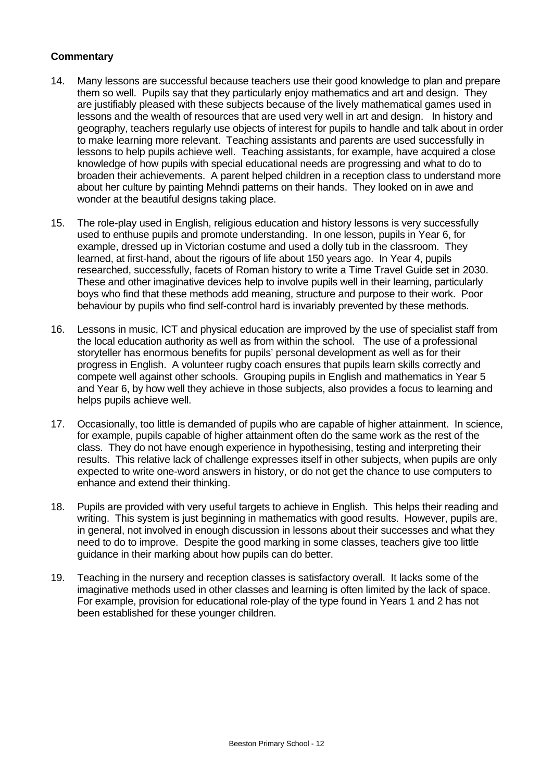- 14. Many lessons are successful because teachers use their good knowledge to plan and prepare them so well. Pupils say that they particularly enjoy mathematics and art and design. They are justifiably pleased with these subjects because of the lively mathematical games used in lessons and the wealth of resources that are used very well in art and design. In history and geography, teachers regularly use objects of interest for pupils to handle and talk about in order to make learning more relevant. Teaching assistants and parents are used successfully in lessons to help pupils achieve well. Teaching assistants, for example, have acquired a close knowledge of how pupils with special educational needs are progressing and what to do to broaden their achievements. A parent helped children in a reception class to understand more about her culture by painting Mehndi patterns on their hands. They looked on in awe and wonder at the beautiful designs taking place.
- 15. The role-play used in English, religious education and history lessons is very successfully used to enthuse pupils and promote understanding. In one lesson, pupils in Year 6, for example, dressed up in Victorian costume and used a dolly tub in the classroom. They learned, at first-hand, about the rigours of life about 150 years ago. In Year 4, pupils researched, successfully, facets of Roman history to write a Time Travel Guide set in 2030. These and other imaginative devices help to involve pupils well in their learning, particularly boys who find that these methods add meaning, structure and purpose to their work. Poor behaviour by pupils who find self-control hard is invariably prevented by these methods.
- 16. Lessons in music, ICT and physical education are improved by the use of specialist staff from the local education authority as well as from within the school. The use of a professional storyteller has enormous benefits for pupils' personal development as well as for their progress in English. A volunteer rugby coach ensures that pupils learn skills correctly and compete well against other schools. Grouping pupils in English and mathematics in Year 5 and Year 6, by how well they achieve in those subjects, also provides a focus to learning and helps pupils achieve well.
- 17. Occasionally, too little is demanded of pupils who are capable of higher attainment. In science, for example, pupils capable of higher attainment often do the same work as the rest of the class. They do not have enough experience in hypothesising, testing and interpreting their results. This relative lack of challenge expresses itself in other subjects, when pupils are only expected to write one-word answers in history, or do not get the chance to use computers to enhance and extend their thinking.
- 18. Pupils are provided with very useful targets to achieve in English. This helps their reading and writing. This system is just beginning in mathematics with good results. However, pupils are, in general, not involved in enough discussion in lessons about their successes and what they need to do to improve. Despite the good marking in some classes, teachers give too little guidance in their marking about how pupils can do better.
- 19. Teaching in the nursery and reception classes is satisfactory overall. It lacks some of the imaginative methods used in other classes and learning is often limited by the lack of space. For example, provision for educational role-play of the type found in Years 1 and 2 has not been established for these younger children.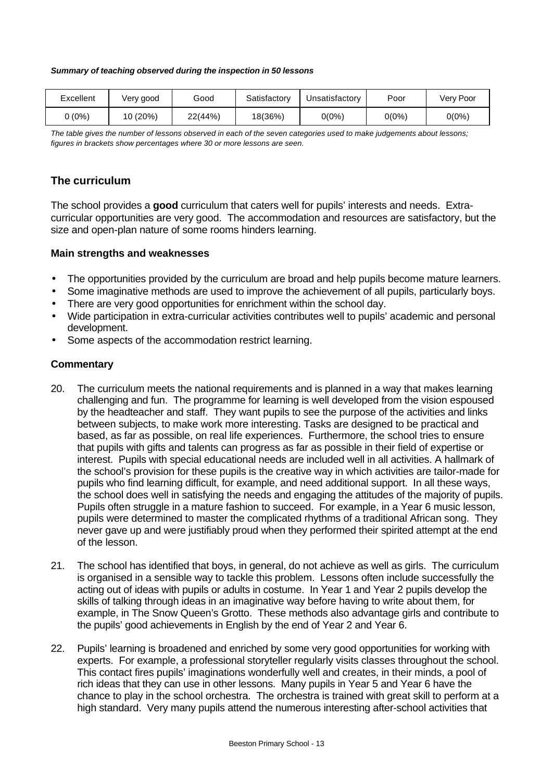#### *Summary of teaching observed during the inspection in 50 lessons*

| Excellent | Very good | Good    | Satisfactory | Jnsatisfactory | Poor     | Very Poor |
|-----------|-----------|---------|--------------|----------------|----------|-----------|
| (0%)      | 10 (20%)  | 22(44%) | 18(36%)      | $0(0\%)$       | $0(0\%)$ | 0(0%)     |

*The table gives the number of lessons observed in each of the seven categories used to make judgements about lessons; figures in brackets show percentages where 30 or more lessons are seen.*

# **The curriculum**

The school provides a **good** curriculum that caters well for pupils' interests and needs. Extracurricular opportunities are very good. The accommodation and resources are satisfactory, but the size and open-plan nature of some rooms hinders learning.

#### **Main strengths and weaknesses**

- The opportunities provided by the curriculum are broad and help pupils become mature learners.
- Some imaginative methods are used to improve the achievement of all pupils, particularly boys.
- There are very good opportunities for enrichment within the school day.
- Wide participation in extra-curricular activities contributes well to pupils' academic and personal development.
- Some aspects of the accommodation restrict learning.

- 20. The curriculum meets the national requirements and is planned in a way that makes learning challenging and fun. The programme for learning is well developed from the vision espoused by the headteacher and staff. They want pupils to see the purpose of the activities and links between subjects, to make work more interesting. Tasks are designed to be practical and based, as far as possible, on real life experiences. Furthermore, the school tries to ensure that pupils with gifts and talents can progress as far as possible in their field of expertise or interest. Pupils with special educational needs are included well in all activities. A hallmark of the school's provision for these pupils is the creative way in which activities are tailor-made for pupils who find learning difficult, for example, and need additional support. In all these ways, the school does well in satisfying the needs and engaging the attitudes of the majority of pupils. Pupils often struggle in a mature fashion to succeed. For example, in a Year 6 music lesson, pupils were determined to master the complicated rhythms of a traditional African song. They never gave up and were justifiably proud when they performed their spirited attempt at the end of the lesson.
- 21. The school has identified that boys, in general, do not achieve as well as girls. The curriculum is organised in a sensible way to tackle this problem. Lessons often include successfully the acting out of ideas with pupils or adults in costume. In Year 1 and Year 2 pupils develop the skills of talking through ideas in an imaginative way before having to write about them, for example, in The Snow Queen's Grotto. These methods also advantage girls and contribute to the pupils' good achievements in English by the end of Year 2 and Year 6.
- 22. Pupils' learning is broadened and enriched by some very good opportunities for working with experts. For example, a professional storyteller regularly visits classes throughout the school. This contact fires pupils' imaginations wonderfully well and creates, in their minds, a pool of rich ideas that they can use in other lessons. Many pupils in Year 5 and Year 6 have the chance to play in the school orchestra. The orchestra is trained with great skill to perform at a high standard. Very many pupils attend the numerous interesting after-school activities that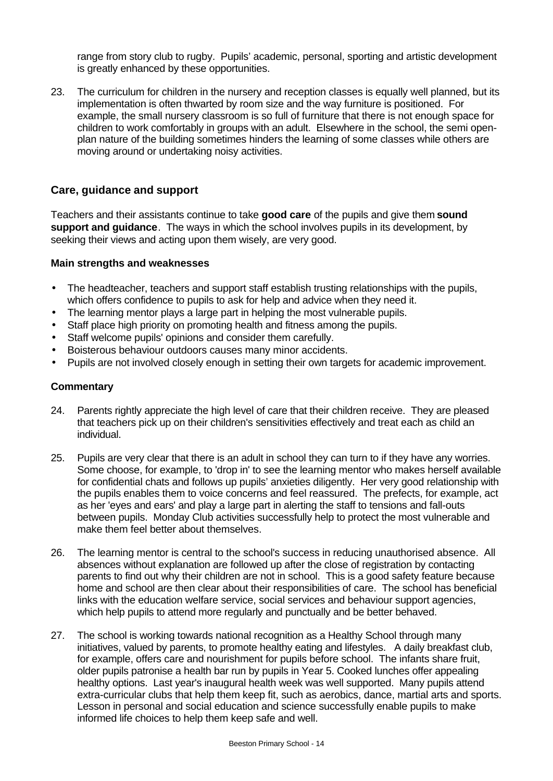range from story club to rugby. Pupils' academic, personal, sporting and artistic development is greatly enhanced by these opportunities.

23. The curriculum for children in the nursery and reception classes is equally well planned, but its implementation is often thwarted by room size and the way furniture is positioned. For example, the small nursery classroom is so full of furniture that there is not enough space for children to work comfortably in groups with an adult. Elsewhere in the school, the semi openplan nature of the building sometimes hinders the learning of some classes while others are moving around or undertaking noisy activities.

#### **Care, guidance and support**

Teachers and their assistants continue to take **good care** of the pupils and give them **sound support and guidance**. The ways in which the school involves pupils in its development, by seeking their views and acting upon them wisely, are very good.

#### **Main strengths and weaknesses**

- The headteacher, teachers and support staff establish trusting relationships with the pupils, which offers confidence to pupils to ask for help and advice when they need it.
- The learning mentor plays a large part in helping the most vulnerable pupils.
- Staff place high priority on promoting health and fitness among the pupils.
- Staff welcome pupils' opinions and consider them carefully.
- Boisterous behaviour outdoors causes many minor accidents.
- Pupils are not involved closely enough in setting their own targets for academic improvement.

- 24. Parents rightly appreciate the high level of care that their children receive. They are pleased that teachers pick up on their children's sensitivities effectively and treat each as child an individual.
- 25. Pupils are very clear that there is an adult in school they can turn to if they have any worries. Some choose, for example, to 'drop in' to see the learning mentor who makes herself available for confidential chats and follows up pupils' anxieties diligently. Her very good relationship with the pupils enables them to voice concerns and feel reassured. The prefects, for example, act as her 'eyes and ears' and play a large part in alerting the staff to tensions and fall-outs between pupils. Monday Club activities successfully help to protect the most vulnerable and make them feel better about themselves.
- 26. The learning mentor is central to the school's success in reducing unauthorised absence. All absences without explanation are followed up after the close of registration by contacting parents to find out why their children are not in school. This is a good safety feature because home and school are then clear about their responsibilities of care. The school has beneficial links with the education welfare service, social services and behaviour support agencies, which help pupils to attend more regularly and punctually and be better behaved.
- 27. The school is working towards national recognition as a Healthy School through many initiatives, valued by parents, to promote healthy eating and lifestyles. A daily breakfast club, for example, offers care and nourishment for pupils before school. The infants share fruit, older pupils patronise a health bar run by pupils in Year 5. Cooked lunches offer appealing healthy options. Last year's inaugural health week was well supported. Many pupils attend extra-curricular clubs that help them keep fit, such as aerobics, dance, martial arts and sports. Lesson in personal and social education and science successfully enable pupils to make informed life choices to help them keep safe and well.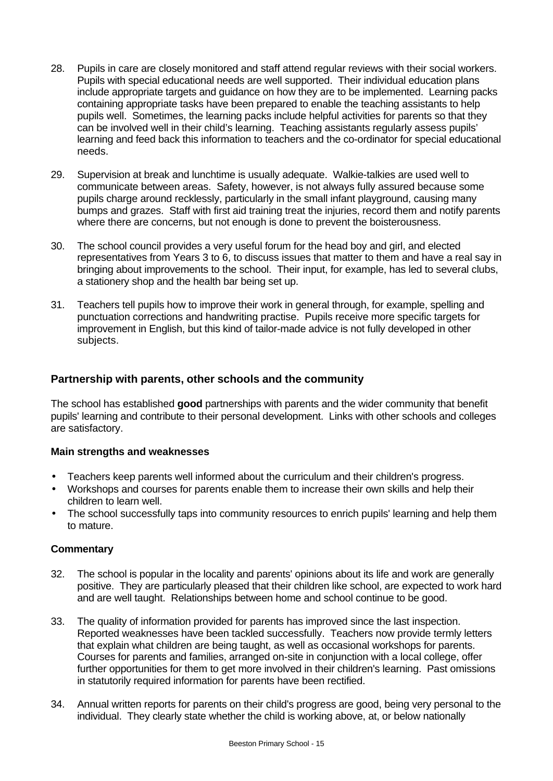- 28. Pupils in care are closely monitored and staff attend regular reviews with their social workers. Pupils with special educational needs are well supported. Their individual education plans include appropriate targets and guidance on how they are to be implemented. Learning packs containing appropriate tasks have been prepared to enable the teaching assistants to help pupils well. Sometimes, the learning packs include helpful activities for parents so that they can be involved well in their child's learning. Teaching assistants regularly assess pupils' learning and feed back this information to teachers and the co-ordinator for special educational needs.
- 29. Supervision at break and lunchtime is usually adequate. Walkie-talkies are used well to communicate between areas. Safety, however, is not always fully assured because some pupils charge around recklessly, particularly in the small infant playground, causing many bumps and grazes. Staff with first aid training treat the injuries, record them and notify parents where there are concerns, but not enough is done to prevent the boisterousness.
- 30. The school council provides a very useful forum for the head boy and girl, and elected representatives from Years 3 to 6, to discuss issues that matter to them and have a real say in bringing about improvements to the school. Their input, for example, has led to several clubs, a stationery shop and the health bar being set up.
- 31. Teachers tell pupils how to improve their work in general through, for example, spelling and punctuation corrections and handwriting practise. Pupils receive more specific targets for improvement in English, but this kind of tailor-made advice is not fully developed in other subjects.

# **Partnership with parents, other schools and the community**

The school has established **good** partnerships with parents and the wider community that benefit pupils' learning and contribute to their personal development. Links with other schools and colleges are satisfactory.

## **Main strengths and weaknesses**

- Teachers keep parents well informed about the curriculum and their children's progress.
- Workshops and courses for parents enable them to increase their own skills and help their children to learn well.
- The school successfully taps into community resources to enrich pupils' learning and help them to mature.

- 32. The school is popular in the locality and parents' opinions about its life and work are generally positive. They are particularly pleased that their children like school, are expected to work hard and are well taught. Relationships between home and school continue to be good.
- 33. The quality of information provided for parents has improved since the last inspection. Reported weaknesses have been tackled successfully. Teachers now provide termly letters that explain what children are being taught, as well as occasional workshops for parents. Courses for parents and families, arranged on-site in conjunction with a local college, offer further opportunities for them to get more involved in their children's learning. Past omissions in statutorily required information for parents have been rectified.
- 34. Annual written reports for parents on their child's progress are good, being very personal to the individual. They clearly state whether the child is working above, at, or below nationally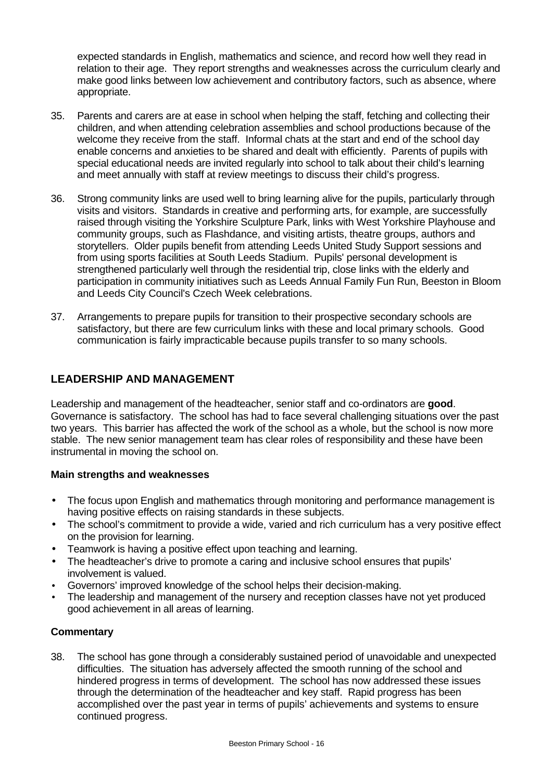expected standards in English, mathematics and science, and record how well they read in relation to their age. They report strengths and weaknesses across the curriculum clearly and make good links between low achievement and contributory factors, such as absence, where appropriate.

- 35. Parents and carers are at ease in school when helping the staff, fetching and collecting their children, and when attending celebration assemblies and school productions because of the welcome they receive from the staff. Informal chats at the start and end of the school day enable concerns and anxieties to be shared and dealt with efficiently. Parents of pupils with special educational needs are invited regularly into school to talk about their child's learning and meet annually with staff at review meetings to discuss their child's progress.
- 36. Strong community links are used well to bring learning alive for the pupils, particularly through visits and visitors. Standards in creative and performing arts, for example, are successfully raised through visiting the Yorkshire Sculpture Park, links with West Yorkshire Playhouse and community groups, such as Flashdance, and visiting artists, theatre groups, authors and storytellers. Older pupils benefit from attending Leeds United Study Support sessions and from using sports facilities at South Leeds Stadium. Pupils' personal development is strengthened particularly well through the residential trip, close links with the elderly and participation in community initiatives such as Leeds Annual Family Fun Run, Beeston in Bloom and Leeds City Council's Czech Week celebrations.
- 37. Arrangements to prepare pupils for transition to their prospective secondary schools are satisfactory, but there are few curriculum links with these and local primary schools. Good communication is fairly impracticable because pupils transfer to so many schools.

# **LEADERSHIP AND MANAGEMENT**

Leadership and management of the headteacher, senior staff and co-ordinators are **good**. Governance is satisfactory. The school has had to face several challenging situations over the past two years. This barrier has affected the work of the school as a whole, but the school is now more stable. The new senior management team has clear roles of responsibility and these have been instrumental in moving the school on.

#### **Main strengths and weaknesses**

- The focus upon English and mathematics through monitoring and performance management is having positive effects on raising standards in these subjects.
- The school's commitment to provide a wide, varied and rich curriculum has a very positive effect on the provision for learning.
- Teamwork is having a positive effect upon teaching and learning.
- The headteacher's drive to promote a caring and inclusive school ensures that pupils' involvement is valued.
- Governors' improved knowledge of the school helps their decision-making.
- The leadership and management of the nursery and reception classes have not yet produced good achievement in all areas of learning.

## **Commentary**

38. The school has gone through a considerably sustained period of unavoidable and unexpected difficulties. The situation has adversely affected the smooth running of the school and hindered progress in terms of development. The school has now addressed these issues through the determination of the headteacher and key staff. Rapid progress has been accomplished over the past year in terms of pupils' achievements and systems to ensure continued progress.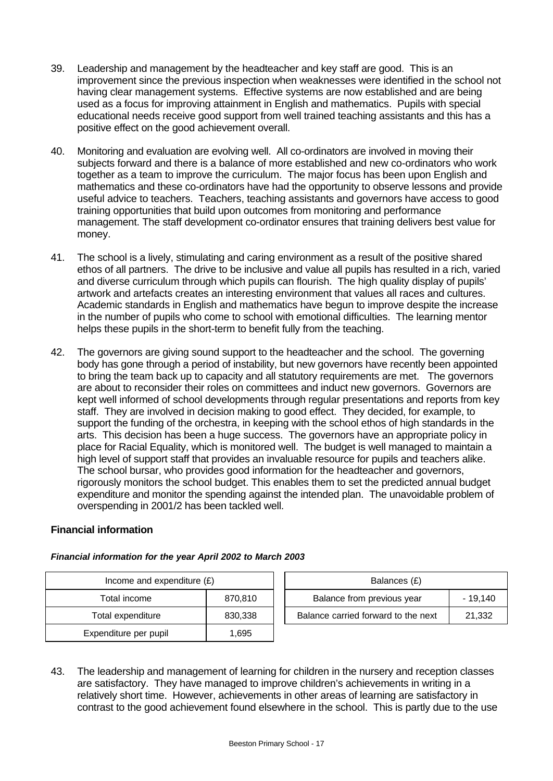- 39. Leadership and management by the headteacher and key staff are good. This is an improvement since the previous inspection when weaknesses were identified in the school not having clear management systems. Effective systems are now established and are being used as a focus for improving attainment in English and mathematics. Pupils with special educational needs receive good support from well trained teaching assistants and this has a positive effect on the good achievement overall.
- 40. Monitoring and evaluation are evolving well. All co-ordinators are involved in moving their subjects forward and there is a balance of more established and new co-ordinators who work together as a team to improve the curriculum. The major focus has been upon English and mathematics and these co-ordinators have had the opportunity to observe lessons and provide useful advice to teachers. Teachers, teaching assistants and governors have access to good training opportunities that build upon outcomes from monitoring and performance management. The staff development co-ordinator ensures that training delivers best value for money.
- 41. The school is a lively, stimulating and caring environment as a result of the positive shared ethos of all partners. The drive to be inclusive and value all pupils has resulted in a rich, varied and diverse curriculum through which pupils can flourish. The high quality display of pupils' artwork and artefacts creates an interesting environment that values all races and cultures. Academic standards in English and mathematics have begun to improve despite the increase in the number of pupils who come to school with emotional difficulties. The learning mentor helps these pupils in the short-term to benefit fully from the teaching.
- 42. The governors are giving sound support to the headteacher and the school. The governing body has gone through a period of instability, but new governors have recently been appointed to bring the team back up to capacity and all statutory requirements are met. The governors are about to reconsider their roles on committees and induct new governors. Governors are kept well informed of school developments through regular presentations and reports from key staff. They are involved in decision making to good effect. They decided, for example, to support the funding of the orchestra, in keeping with the school ethos of high standards in the arts. This decision has been a huge success. The governors have an appropriate policy in place for Racial Equality, which is monitored well. The budget is well managed to maintain a high level of support staff that provides an invaluable resource for pupils and teachers alike. The school bursar, who provides good information for the headteacher and governors, rigorously monitors the school budget. This enables them to set the predicted annual budget expenditure and monitor the spending against the intended plan. The unavoidable problem of overspending in 2001/2 has been tackled well.

## **Financial information**

| Income and expenditure $(E)$ |         |  | Balances (£)                   |
|------------------------------|---------|--|--------------------------------|
| Total income                 | 870,810 |  | Balance from previous year     |
| Total expenditure            | 830,338 |  | Balance carried forward to the |
| Expenditure per pupil        | 1,695   |  |                                |

| Income and expenditure $(E)$ |         |                            | Balances (£)                        |           |
|------------------------------|---------|----------------------------|-------------------------------------|-----------|
| Total income                 | 870.810 | Balance from previous year |                                     | $-19.140$ |
| Total expenditure            | 830.338 |                            | Balance carried forward to the next | 21,332    |

43. The leadership and management of learning for children in the nursery and reception classes are satisfactory. They have managed to improve children's achievements in writing in a relatively short time. However, achievements in other areas of learning are satisfactory in contrast to the good achievement found elsewhere in the school. This is partly due to the use

#### *Financial information for the year April 2002 to March 2003*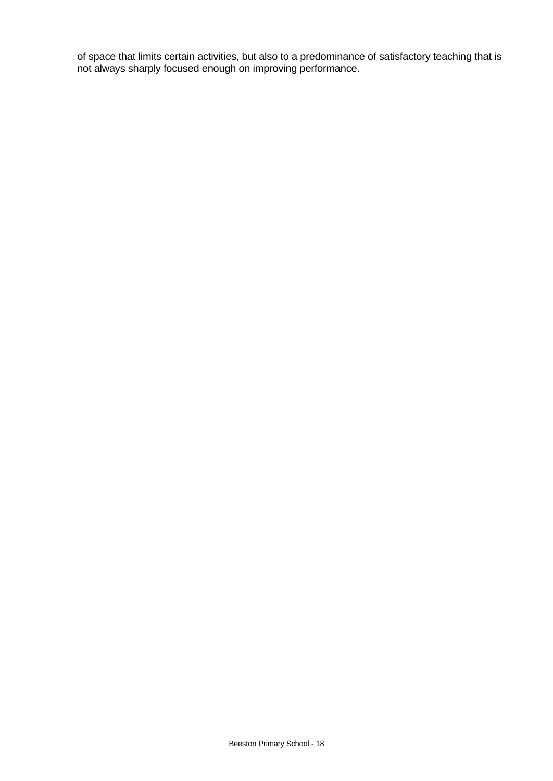of space that limits certain activities, but also to a predominance of satisfactory teaching that is not always sharply focused enough on improving performance.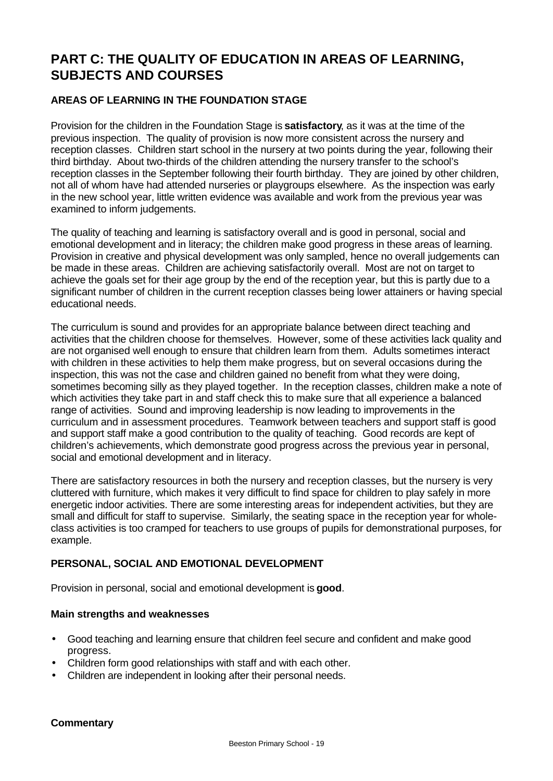# **PART C: THE QUALITY OF EDUCATION IN AREAS OF LEARNING, SUBJECTS AND COURSES**

## **AREAS OF LEARNING IN THE FOUNDATION STAGE**

Provision for the children in the Foundation Stage is **satisfactory**, as it was at the time of the previous inspection. The quality of provision is now more consistent across the nursery and reception classes. Children start school in the nursery at two points during the year, following their third birthday. About two-thirds of the children attending the nursery transfer to the school's reception classes in the September following their fourth birthday. They are joined by other children, not all of whom have had attended nurseries or playgroups elsewhere. As the inspection was early in the new school year, little written evidence was available and work from the previous year was examined to inform judgements.

The quality of teaching and learning is satisfactory overall and is good in personal, social and emotional development and in literacy; the children make good progress in these areas of learning. Provision in creative and physical development was only sampled, hence no overall judgements can be made in these areas. Children are achieving satisfactorily overall.Most are not on target to achieve the goals set for their age group by the end of the reception year, but this is partly due to a significant number of children in the current reception classes being lower attainers or having special educational needs.

The curriculum is sound and provides for an appropriate balance between direct teaching and activities that the children choose for themselves. However, some of these activities lack quality and are not organised well enough to ensure that children learn from them. Adults sometimes interact with children in these activities to help them make progress, but on several occasions during the inspection, this was not the case and children gained no benefit from what they were doing, sometimes becoming silly as they played together. In the reception classes, children make a note of which activities they take part in and staff check this to make sure that all experience a balanced range of activities. Sound and improving leadership is now leading to improvements in the curriculum and in assessment procedures. Teamwork between teachers and support staff is good and support staff make a good contribution to the quality of teaching. Good records are kept of children's achievements, which demonstrate good progress across the previous year in personal, social and emotional development and in literacy.

There are satisfactory resources in both the nursery and reception classes, but the nursery is very cluttered with furniture, which makes it very difficult to find space for children to play safely in more energetic indoor activities. There are some interesting areas for independent activities, but they are small and difficult for staff to supervise. Similarly, the seating space in the reception year for wholeclass activities is too cramped for teachers to use groups of pupils for demonstrational purposes, for example.

## **PERSONAL, SOCIAL AND EMOTIONAL DEVELOPMENT**

Provision in personal, social and emotional development is **good**.

#### **Main strengths and weaknesses**

- Good teaching and learning ensure that children feel secure and confident and make good progress.
- Children form good relationships with staff and with each other.
- Children are independent in looking after their personal needs.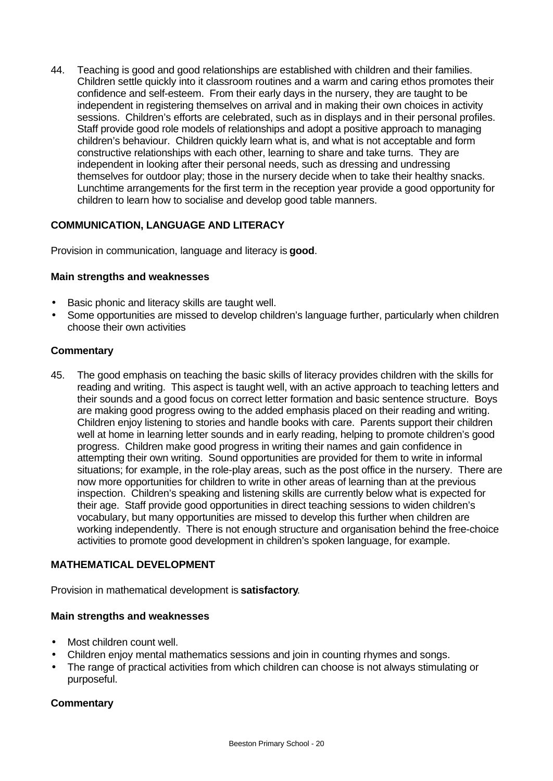44. Teaching is good and good relationships are established with children and their families. Children settle quickly into it classroom routines and a warm and caring ethos promotes their confidence and self-esteem. From their early days in the nursery, they are taught to be independent in registering themselves on arrival and in making their own choices in activity sessions. Children's efforts are celebrated, such as in displays and in their personal profiles. Staff provide good role models of relationships and adopt a positive approach to managing children's behaviour. Children quickly learn what is, and what is not acceptable and form constructive relationships with each other, learning to share and take turns. They are independent in looking after their personal needs, such as dressing and undressing themselves for outdoor play; those in the nursery decide when to take their healthy snacks. Lunchtime arrangements for the first term in the reception year provide a good opportunity for children to learn how to socialise and develop good table manners.

## **COMMUNICATION, LANGUAGE AND LITERACY**

Provision in communication, language and literacy is **good**.

#### **Main strengths and weaknesses**

- Basic phonic and literacy skills are taught well.
- Some opportunities are missed to develop children's language further, particularly when children choose their own activities

#### **Commentary**

45. The good emphasis on teaching the basic skills of literacy provides children with the skills for reading and writing. This aspect is taught well, with an active approach to teaching letters and their sounds and a good focus on correct letter formation and basic sentence structure. Boys are making good progress owing to the added emphasis placed on their reading and writing. Children enjoy listening to stories and handle books with care. Parents support their children well at home in learning letter sounds and in early reading, helping to promote children's good progress. Children make good progress in writing their names and gain confidence in attempting their own writing. Sound opportunities are provided for them to write in informal situations; for example, in the role-play areas, such as the post office in the nursery. There are now more opportunities for children to write in other areas of learning than at the previous inspection. Children's speaking and listening skills are currently below what is expected for their age. Staff provide good opportunities in direct teaching sessions to widen children's vocabulary, but many opportunities are missed to develop this further when children are working independently. There is not enough structure and organisation behind the free-choice activities to promote good development in children's spoken language, for example.

## **MATHEMATICAL DEVELOPMENT**

Provision in mathematical development is **satisfactory**.

#### **Main strengths and weaknesses**

- Most children count well.
- Children enjoy mental mathematics sessions and join in counting rhymes and songs.
- The range of practical activities from which children can choose is not always stimulating or purposeful.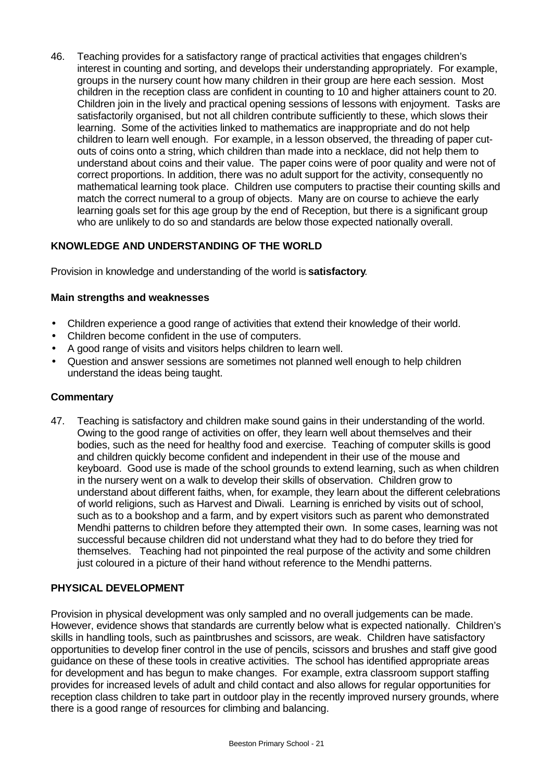46. Teaching provides for a satisfactory range of practical activities that engages children's interest in counting and sorting, and develops their understanding appropriately. For example, groups in the nursery count how many children in their group are here each session. Most children in the reception class are confident in counting to 10 and higher attainers count to 20. Children join in the lively and practical opening sessions of lessons with enjoyment. Tasks are satisfactorily organised, but not all children contribute sufficiently to these, which slows their learning. Some of the activities linked to mathematics are inappropriate and do not help children to learn well enough. For example, in a lesson observed, the threading of paper cutouts of coins onto a string, which children than made into a necklace, did not help them to understand about coins and their value. The paper coins were of poor quality and were not of correct proportions. In addition, there was no adult support for the activity, consequently no mathematical learning took place. Children use computers to practise their counting skills and match the correct numeral to a group of objects. Many are on course to achieve the early learning goals set for this age group by the end of Reception, but there is a significant group who are unlikely to do so and standards are below those expected nationally overall.

# **KNOWLEDGE AND UNDERSTANDING OF THE WORLD**

Provision in knowledge and understanding of the world is **satisfactory**.

#### **Main strengths and weaknesses**

- Children experience a good range of activities that extend their knowledge of their world.
- Children become confident in the use of computers.
- A good range of visits and visitors helps children to learn well.
- Question and answer sessions are sometimes not planned well enough to help children understand the ideas being taught.

#### **Commentary**

47. Teaching is satisfactory and children make sound gains in their understanding of the world. Owing to the good range of activities on offer, they learn well about themselves and their bodies, such as the need for healthy food and exercise. Teaching of computer skills is good and children quickly become confident and independent in their use of the mouse and keyboard. Good use is made of the school grounds to extend learning, such as when children in the nursery went on a walk to develop their skills of observation. Children grow to understand about different faiths, when, for example, they learn about the different celebrations of world religions, such as Harvest and Diwali. Learning is enriched by visits out of school, such as to a bookshop and a farm, and by expert visitors such as parent who demonstrated Mendhi patterns to children before they attempted their own. In some cases, learning was not successful because children did not understand what they had to do before they tried for themselves. Teaching had not pinpointed the real purpose of the activity and some children just coloured in a picture of their hand without reference to the Mendhi patterns.

## **PHYSICAL DEVELOPMENT**

Provision in physical development was only sampled and no overall judgements can be made. However, evidence shows that standards are currently below what is expected nationally. Children's skills in handling tools, such as paintbrushes and scissors, are weak. Children have satisfactory opportunities to develop finer control in the use of pencils, scissors and brushes and staff give good guidance on these of these tools in creative activities. The school has identified appropriate areas for development and has begun to make changes. For example, extra classroom support staffing provides for increased levels of adult and child contact and also allows for regular opportunities for reception class children to take part in outdoor play in the recently improved nursery grounds, where there is a good range of resources for climbing and balancing.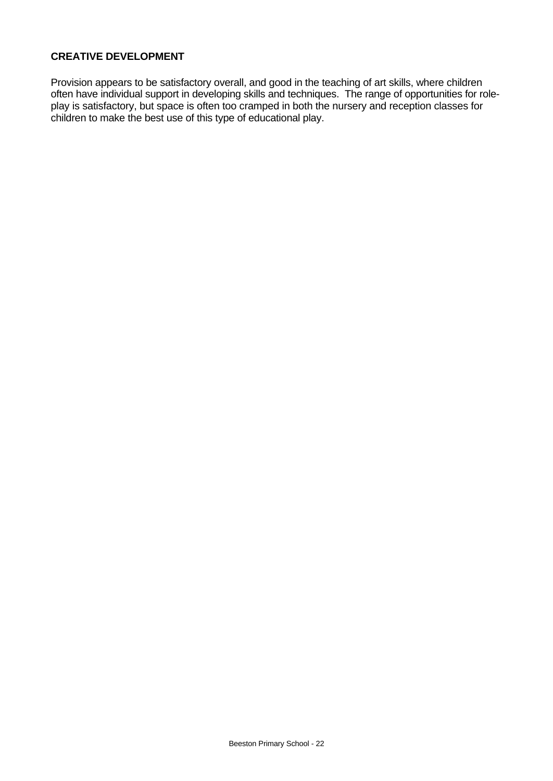### **CREATIVE DEVELOPMENT**

Provision appears to be satisfactory overall, and good in the teaching of art skills, where children often have individual support in developing skills and techniques. The range of opportunities for roleplay is satisfactory, but space is often too cramped in both the nursery and reception classes for children to make the best use of this type of educational play.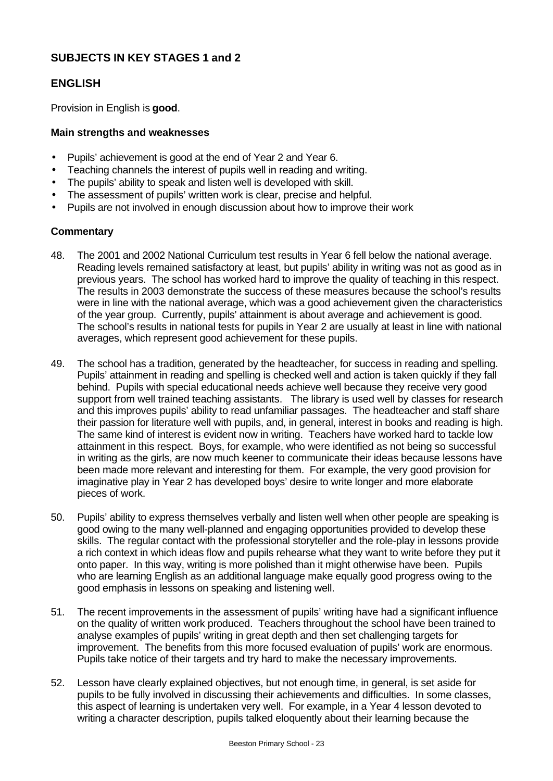# **SUBJECTS IN KEY STAGES 1 and 2**

# **ENGLISH**

Provision in English is **good**.

#### **Main strengths and weaknesses**

- Pupils' achievement is good at the end of Year 2 and Year 6.
- Teaching channels the interest of pupils well in reading and writing.
- The pupils' ability to speak and listen well is developed with skill.
- The assessment of pupils' written work is clear, precise and helpful.
- Pupils are not involved in enough discussion about how to improve their work

- 48. The 2001 and 2002 National Curriculum test results in Year 6 fell below the national average. Reading levels remained satisfactory at least, but pupils' ability in writing was not as good as in previous years. The school has worked hard to improve the quality of teaching in this respect. The results in 2003 demonstrate the success of these measures because the school's results were in line with the national average, which was a good achievement given the characteristics of the year group. Currently, pupils' attainment is about average and achievement is good. The school's results in national tests for pupils in Year 2 are usually at least in line with national averages, which represent good achievement for these pupils.
- 49. The school has a tradition, generated by the headteacher, for success in reading and spelling. Pupils' attainment in reading and spelling is checked well and action is taken quickly if they fall behind. Pupils with special educational needs achieve well because they receive very good support from well trained teaching assistants. The library is used well by classes for research and this improves pupils' ability to read unfamiliar passages. The headteacher and staff share their passion for literature well with pupils, and, in general, interest in books and reading is high. The same kind of interest is evident now in writing. Teachers have worked hard to tackle low attainment in this respect. Boys, for example, who were identified as not being so successful in writing as the girls, are now much keener to communicate their ideas because lessons have been made more relevant and interesting for them. For example, the very good provision for imaginative play in Year 2 has developed boys' desire to write longer and more elaborate pieces of work.
- 50. Pupils' ability to express themselves verbally and listen well when other people are speaking is good owing to the many well-planned and engaging opportunities provided to develop these skills. The regular contact with the professional storyteller and the role-play in lessons provide a rich context in which ideas flow and pupils rehearse what they want to write before they put it onto paper. In this way, writing is more polished than it might otherwise have been. Pupils who are learning English as an additional language make equally good progress owing to the good emphasis in lessons on speaking and listening well.
- 51. The recent improvements in the assessment of pupils' writing have had a significant influence on the quality of written work produced. Teachers throughout the school have been trained to analyse examples of pupils' writing in great depth and then set challenging targets for improvement. The benefits from this more focused evaluation of pupils' work are enormous. Pupils take notice of their targets and try hard to make the necessary improvements.
- 52. Lesson have clearly explained objectives, but not enough time, in general, is set aside for pupils to be fully involved in discussing their achievements and difficulties. In some classes, this aspect of learning is undertaken very well. For example, in a Year 4 lesson devoted to writing a character description, pupils talked eloquently about their learning because the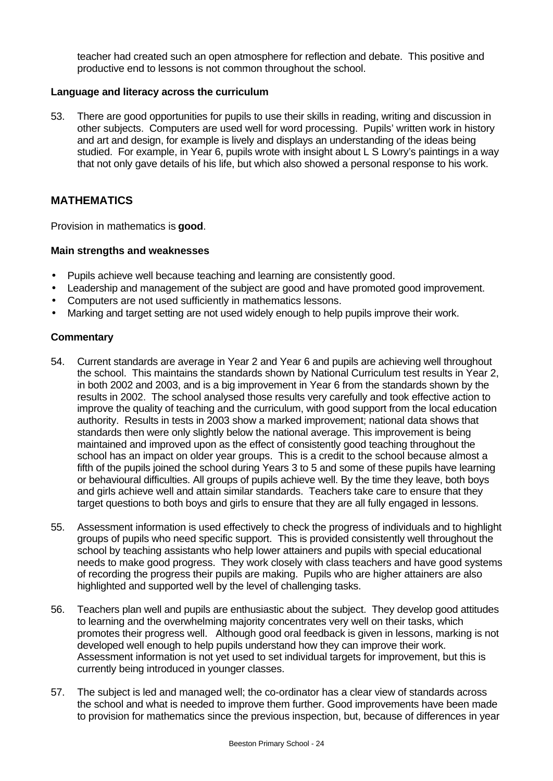teacher had created such an open atmosphere for reflection and debate. This positive and productive end to lessons is not common throughout the school.

#### **Language and literacy across the curriculum**

53. There are good opportunities for pupils to use their skills in reading, writing and discussion in other subjects. Computers are used well for word processing. Pupils' written work in history and art and design, for example is lively and displays an understanding of the ideas being studied. For example, in Year 6, pupils wrote with insight about L S Lowry's paintings in a way that not only gave details of his life, but which also showed a personal response to his work.

## **MATHEMATICS**

Provision in mathematics is **good**.

#### **Main strengths and weaknesses**

- Pupils achieve well because teaching and learning are consistently good.
- Leadership and management of the subject are good and have promoted good improvement.
- Computers are not used sufficiently in mathematics lessons.
- Marking and target setting are not used widely enough to help pupils improve their work.

- 54. Current standards are average in Year 2 and Year 6 and pupils are achieving well throughout the school. This maintains the standards shown by National Curriculum test results in Year 2, in both 2002 and 2003, and is a big improvement in Year 6 from the standards shown by the results in 2002. The school analysed those results very carefully and took effective action to improve the quality of teaching and the curriculum, with good support from the local education authority. Results in tests in 2003 show a marked improvement; national data shows that standards then were only slightly below the national average. This improvement is being maintained and improved upon as the effect of consistently good teaching throughout the school has an impact on older year groups. This is a credit to the school because almost a fifth of the pupils joined the school during Years 3 to 5 and some of these pupils have learning or behavioural difficulties. All groups of pupils achieve well. By the time they leave, both boys and girls achieve well and attain similar standards. Teachers take care to ensure that they target questions to both boys and girls to ensure that they are all fully engaged in lessons.
- 55. Assessment information is used effectively to check the progress of individuals and to highlight groups of pupils who need specific support. This is provided consistently well throughout the school by teaching assistants who help lower attainers and pupils with special educational needs to make good progress. They work closely with class teachers and have good systems of recording the progress their pupils are making. Pupils who are higher attainers are also highlighted and supported well by the level of challenging tasks.
- 56. Teachers plan well and pupils are enthusiastic about the subject. They develop good attitudes to learning and the overwhelming majority concentrates very well on their tasks, which promotes their progress well. Although good oral feedback is given in lessons, marking is not developed well enough to help pupils understand how they can improve their work. Assessment information is not yet used to set individual targets for improvement, but this is currently being introduced in younger classes.
- 57. The subject is led and managed well; the co-ordinator has a clear view of standards across the school and what is needed to improve them further. Good improvements have been made to provision for mathematics since the previous inspection, but, because of differences in year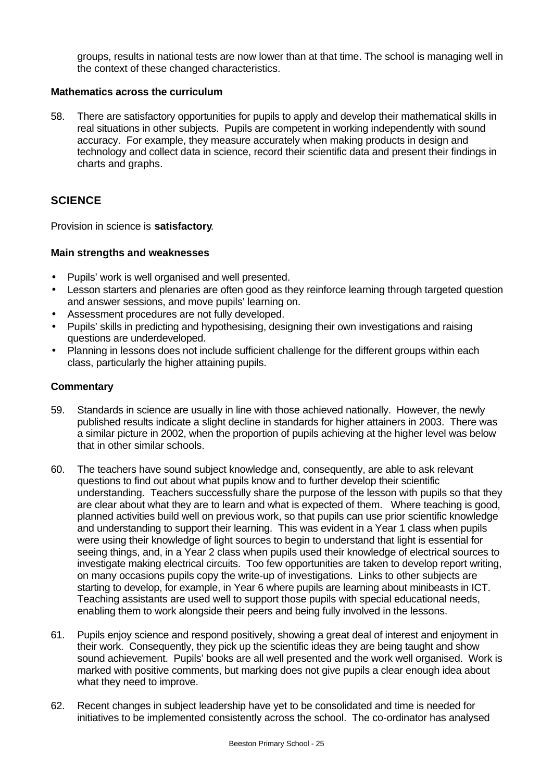groups, results in national tests are now lower than at that time. The school is managing well in the context of these changed characteristics.

#### **Mathematics across the curriculum**

58. There are satisfactory opportunities for pupils to apply and develop their mathematical skills in real situations in other subjects. Pupils are competent in working independently with sound accuracy. For example, they measure accurately when making products in design and technology and collect data in science, record their scientific data and present their findings in charts and graphs.

# **SCIENCE**

Provision in science is **satisfactory**.

#### **Main strengths and weaknesses**

- Pupils' work is well organised and well presented.
- Lesson starters and plenaries are often good as they reinforce learning through targeted question and answer sessions, and move pupils' learning on.
- Assessment procedures are not fully developed.
- Pupils' skills in predicting and hypothesising, designing their own investigations and raising questions are underdeveloped.
- Planning in lessons does not include sufficient challenge for the different groups within each class, particularly the higher attaining pupils.

- 59. Standards in science are usually in line with those achieved nationally. However, the newly published results indicate a slight decline in standards for higher attainers in 2003. There was a similar picture in 2002, when the proportion of pupils achieving at the higher level was below that in other similar schools.
- 60. The teachers have sound subject knowledge and, consequently, are able to ask relevant questions to find out about what pupils know and to further develop their scientific understanding. Teachers successfully share the purpose of the lesson with pupils so that they are clear about what they are to learn and what is expected of them. Where teaching is good, planned activities build well on previous work, so that pupils can use prior scientific knowledge and understanding to support their learning. This was evident in a Year 1 class when pupils were using their knowledge of light sources to begin to understand that light is essential for seeing things, and, in a Year 2 class when pupils used their knowledge of electrical sources to investigate making electrical circuits. Too few opportunities are taken to develop report writing, on many occasions pupils copy the write-up of investigations. Links to other subjects are starting to develop, for example, in Year 6 where pupils are learning about minibeasts in ICT. Teaching assistants are used well to support those pupils with special educational needs, enabling them to work alongside their peers and being fully involved in the lessons.
- 61. Pupils enjoy science and respond positively, showing a great deal of interest and enjoyment in their work. Consequently, they pick up the scientific ideas they are being taught and show sound achievement. Pupils' books are all well presented and the work well organised. Work is marked with positive comments, but marking does not give pupils a clear enough idea about what they need to improve.
- 62. Recent changes in subject leadership have yet to be consolidated and time is needed for initiatives to be implemented consistently across the school. The co-ordinator has analysed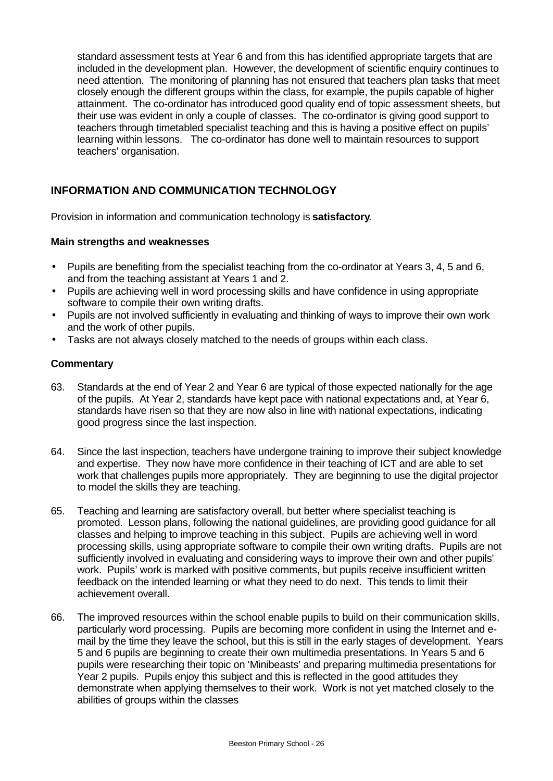standard assessment tests at Year 6 and from this has identified appropriate targets that are included in the development plan. However, the development of scientific enquiry continues to need attention. The monitoring of planning has not ensured that teachers plan tasks that meet closely enough the different groups within the class, for example, the pupils capable of higher attainment. The co-ordinator has introduced good quality end of topic assessment sheets, but their use was evident in only a couple of classes. The co-ordinator is giving good support to teachers through timetabled specialist teaching and this is having a positive effect on pupils' learning within lessons. The co-ordinator has done well to maintain resources to support teachers' organisation.

# **INFORMATION AND COMMUNICATION TECHNOLOGY**

Provision in information and communication technology is **satisfactory**.

#### **Main strengths and weaknesses**

- Pupils are benefiting from the specialist teaching from the co-ordinator at Years 3, 4, 5 and 6, and from the teaching assistant at Years 1 and 2.
- Pupils are achieving well in word processing skills and have confidence in using appropriate software to compile their own writing drafts.
- Pupils are not involved sufficiently in evaluating and thinking of ways to improve their own work and the work of other pupils.
- Tasks are not always closely matched to the needs of groups within each class.

- 63. Standards at the end of Year 2 and Year 6 are typical of those expected nationally for the age of the pupils. At Year 2, standards have kept pace with national expectations and, at Year 6, standards have risen so that they are now also in line with national expectations, indicating good progress since the last inspection.
- 64. Since the last inspection, teachers have undergone training to improve their subject knowledge and expertise. They now have more confidence in their teaching of ICT and are able to set work that challenges pupils more appropriately. They are beginning to use the digital projector to model the skills they are teaching.
- 65. Teaching and learning are satisfactory overall, but better where specialist teaching is promoted. Lesson plans, following the national guidelines, are providing good guidance for all classes and helping to improve teaching in this subject. Pupils are achieving well in word processing skills, using appropriate software to compile their own writing drafts. Pupils are not sufficiently involved in evaluating and considering ways to improve their own and other pupils' work. Pupils' work is marked with positive comments, but pupils receive insufficient written feedback on the intended learning or what they need to do next. This tends to limit their achievement overall.
- 66. The improved resources within the school enable pupils to build on their communication skills, particularly word processing. Pupils are becoming more confident in using the Internet and email by the time they leave the school, but this is still in the early stages of development. Years 5 and 6 pupils are beginning to create their own multimedia presentations. In Years 5 and 6 pupils were researching their topic on 'Minibeasts' and preparing multimedia presentations for Year 2 pupils. Pupils enjoy this subject and this is reflected in the good attitudes they demonstrate when applying themselves to their work. Work is not yet matched closely to the abilities of groups within the classes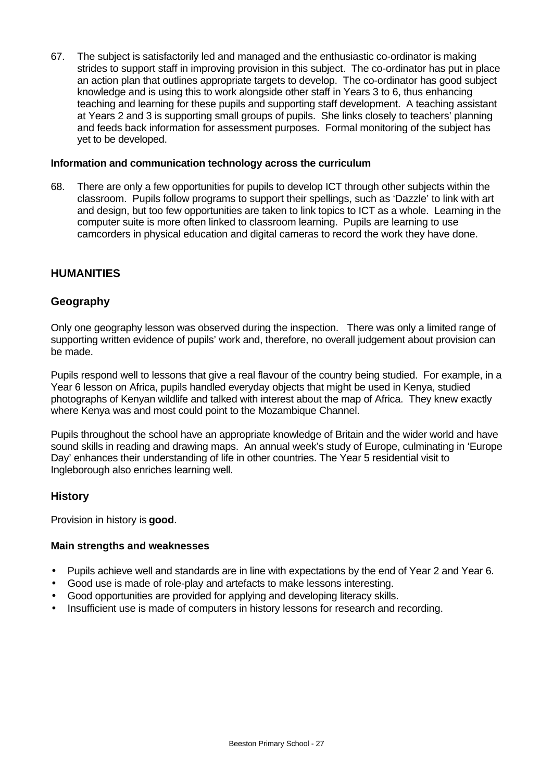67. The subject is satisfactorily led and managed and the enthusiastic co-ordinator is making strides to support staff in improving provision in this subject. The co-ordinator has put in place an action plan that outlines appropriate targets to develop. The co-ordinator has good subject knowledge and is using this to work alongside other staff in Years 3 to 6, thus enhancing teaching and learning for these pupils and supporting staff development. A teaching assistant at Years 2 and 3 is supporting small groups of pupils. She links closely to teachers' planning and feeds back information for assessment purposes. Formal monitoring of the subject has yet to be developed.

#### **Information and communication technology across the curriculum**

68. There are only a few opportunities for pupils to develop ICT through other subjects within the classroom. Pupils follow programs to support their spellings, such as 'Dazzle' to link with art and design, but too few opportunities are taken to link topics to ICT as a whole. Learning in the computer suite is more often linked to classroom learning. Pupils are learning to use camcorders in physical education and digital cameras to record the work they have done.

## **HUMANITIES**

#### **Geography**

Only one geography lesson was observed during the inspection. There was only a limited range of supporting written evidence of pupils' work and, therefore, no overall judgement about provision can be made.

Pupils respond well to lessons that give a real flavour of the country being studied. For example, in a Year 6 lesson on Africa, pupils handled everyday objects that might be used in Kenya, studied photographs of Kenyan wildlife and talked with interest about the map of Africa. They knew exactly where Kenya was and most could point to the Mozambique Channel.

Pupils throughout the school have an appropriate knowledge of Britain and the wider world and have sound skills in reading and drawing maps. An annual week's study of Europe, culminating in 'Europe Day' enhances their understanding of life in other countries. The Year 5 residential visit to Ingleborough also enriches learning well.

#### **History**

Provision in history is **good**.

#### **Main strengths and weaknesses**

- Pupils achieve well and standards are in line with expectations by the end of Year 2 and Year 6.
- Good use is made of role-play and artefacts to make lessons interesting.
- Good opportunities are provided for applying and developing literacy skills.
- Insufficient use is made of computers in history lessons for research and recording.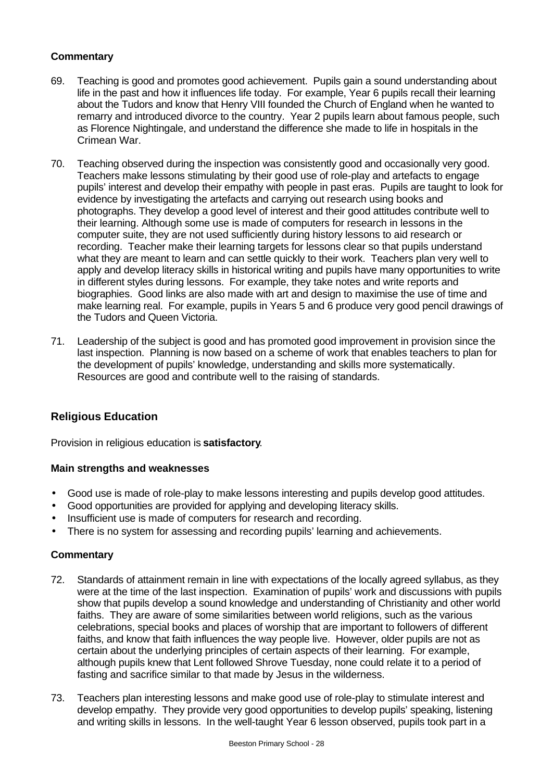### **Commentary**

- 69. Teaching is good and promotes good achievement. Pupils gain a sound understanding about life in the past and how it influences life today. For example, Year 6 pupils recall their learning about the Tudors and know that Henry VIII founded the Church of England when he wanted to remarry and introduced divorce to the country. Year 2 pupils learn about famous people, such as Florence Nightingale, and understand the difference she made to life in hospitals in the Crimean War.
- 70. Teaching observed during the inspection was consistently good and occasionally very good. Teachers make lessons stimulating by their good use of role-play and artefacts to engage pupils' interest and develop their empathy with people in past eras. Pupils are taught to look for evidence by investigating the artefacts and carrying out research using books and photographs. They develop a good level of interest and their good attitudes contribute well to their learning. Although some use is made of computers for research in lessons in the computer suite, they are not used sufficiently during history lessons to aid research or recording. Teacher make their learning targets for lessons clear so that pupils understand what they are meant to learn and can settle quickly to their work. Teachers plan very well to apply and develop literacy skills in historical writing and pupils have many opportunities to write in different styles during lessons. For example, they take notes and write reports and biographies. Good links are also made with art and design to maximise the use of time and make learning real. For example, pupils in Years 5 and 6 produce very good pencil drawings of the Tudors and Queen Victoria.
- 71. Leadership of the subject is good and has promoted good improvement in provision since the last inspection. Planning is now based on a scheme of work that enables teachers to plan for the development of pupils' knowledge, understanding and skills more systematically. Resources are good and contribute well to the raising of standards.

# **Religious Education**

Provision in religious education is **satisfactory**.

#### **Main strengths and weaknesses**

- Good use is made of role-play to make lessons interesting and pupils develop good attitudes.
- Good opportunities are provided for applying and developing literacy skills.
- Insufficient use is made of computers for research and recording.
- There is no system for assessing and recording pupils' learning and achievements.

- 72. Standards of attainment remain in line with expectations of the locally agreed syllabus, as they were at the time of the last inspection. Examination of pupils' work and discussions with pupils show that pupils develop a sound knowledge and understanding of Christianity and other world faiths. They are aware of some similarities between world religions, such as the various celebrations, special books and places of worship that are important to followers of different faiths, and know that faith influences the way people live. However, older pupils are not as certain about the underlying principles of certain aspects of their learning. For example, although pupils knew that Lent followed Shrove Tuesday, none could relate it to a period of fasting and sacrifice similar to that made by Jesus in the wilderness.
- 73. Teachers plan interesting lessons and make good use of role-play to stimulate interest and develop empathy. They provide very good opportunities to develop pupils' speaking, listening and writing skills in lessons. In the well-taught Year 6 lesson observed, pupils took part in a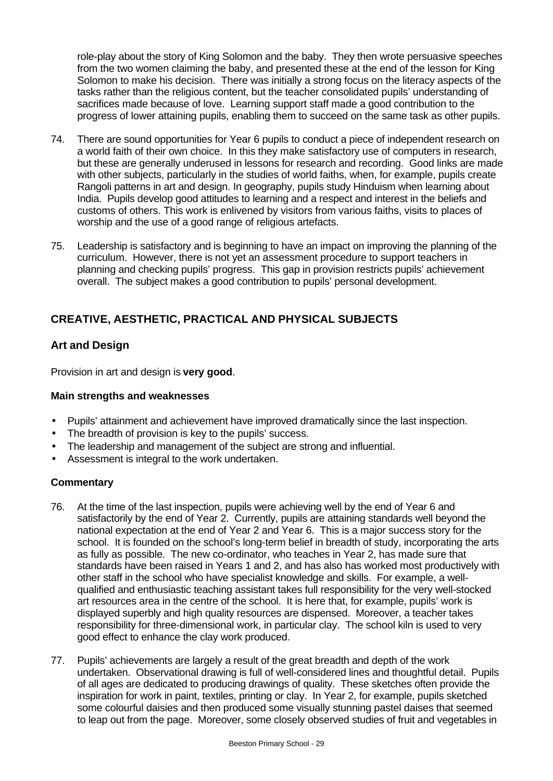role-play about the story of King Solomon and the baby. They then wrote persuasive speeches from the two women claiming the baby, and presented these at the end of the lesson for King Solomon to make his decision. There was initially a strong focus on the literacy aspects of the tasks rather than the religious content, but the teacher consolidated pupils' understanding of sacrifices made because of love. Learning support staff made a good contribution to the progress of lower attaining pupils, enabling them to succeed on the same task as other pupils.

- 74. There are sound opportunities for Year 6 pupils to conduct a piece of independent research on a world faith of their own choice. In this they make satisfactory use of computers in research, but these are generally underused in lessons for research and recording. Good links are made with other subjects, particularly in the studies of world faiths, when, for example, pupils create Rangoli patterns in art and design. In geography, pupils study Hinduism when learning about India. Pupils develop good attitudes to learning and a respect and interest in the beliefs and customs of others. This work is enlivened by visitors from various faiths, visits to places of worship and the use of a good range of religious artefacts.
- 75. Leadership is satisfactory and is beginning to have an impact on improving the planning of the curriculum. However, there is not yet an assessment procedure to support teachers in planning and checking pupils' progress. This gap in provision restricts pupils' achievement overall. The subject makes a good contribution to pupils' personal development.

# **CREATIVE, AESTHETIC, PRACTICAL AND PHYSICAL SUBJECTS**

## **Art and Design**

Provision in art and design is **very good**.

#### **Main strengths and weaknesses**

- Pupils' attainment and achievement have improved dramatically since the last inspection.
- The breadth of provision is key to the pupils' success.
- The leadership and management of the subject are strong and influential.
- Assessment is integral to the work undertaken.

- 76. At the time of the last inspection, pupils were achieving well by the end of Year 6 and satisfactorily by the end of Year 2. Currently, pupils are attaining standards well beyond the national expectation at the end of Year 2 and Year 6. This is a major success story for the school. It is founded on the school's long-term belief in breadth of study, incorporating the arts as fully as possible. The new co-ordinator, who teaches in Year 2, has made sure that standards have been raised in Years 1 and 2, and has also has worked most productively with other staff in the school who have specialist knowledge and skills. For example, a wellqualified and enthusiastic teaching assistant takes full responsibility for the very well-stocked art resources area in the centre of the school. It is here that, for example, pupils' work is displayed superbly and high quality resources are dispensed. Moreover, a teacher takes responsibility for three-dimensional work, in particular clay. The school kiln is used to very good effect to enhance the clay work produced.
- 77. Pupils' achievements are largely a result of the great breadth and depth of the work undertaken. Observational drawing is full of well-considered lines and thoughtful detail. Pupils of all ages are dedicated to producing drawings of quality. These sketches often provide the inspiration for work in paint, textiles, printing or clay. In Year 2, for example, pupils sketched some colourful daisies and then produced some visually stunning pastel daises that seemed to leap out from the page. Moreover, some closely observed studies of fruit and vegetables in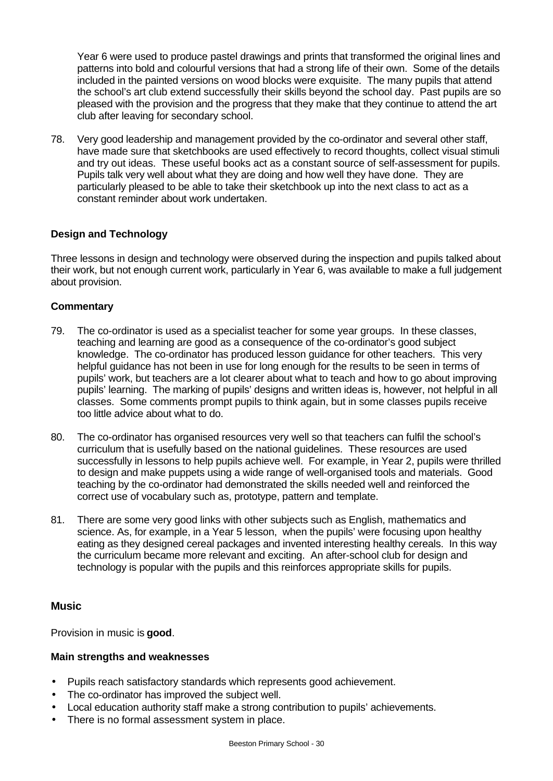Year 6 were used to produce pastel drawings and prints that transformed the original lines and patterns into bold and colourful versions that had a strong life of their own. Some of the details included in the painted versions on wood blocks were exquisite. The many pupils that attend the school's art club extend successfully their skills beyond the school day. Past pupils are so pleased with the provision and the progress that they make that they continue to attend the art club after leaving for secondary school.

78. Very good leadership and management provided by the co-ordinator and several other staff, have made sure that sketchbooks are used effectively to record thoughts, collect visual stimuli and try out ideas. These useful books act as a constant source of self-assessment for pupils. Pupils talk very well about what they are doing and how well they have done. They are particularly pleased to be able to take their sketchbook up into the next class to act as a constant reminder about work undertaken.

## **Design and Technology**

Three lessons in design and technology were observed during the inspection and pupils talked about their work, but not enough current work, particularly in Year 6, was available to make a full judgement about provision.

#### **Commentary**

- 79. The co-ordinator is used as a specialist teacher for some year groups. In these classes, teaching and learning are good as a consequence of the co-ordinator's good subject knowledge. The co-ordinator has produced lesson guidance for other teachers. This very helpful guidance has not been in use for long enough for the results to be seen in terms of pupils' work, but teachers are a lot clearer about what to teach and how to go about improving pupils' learning. The marking of pupils' designs and written ideas is, however, not helpful in all classes. Some comments prompt pupils to think again, but in some classes pupils receive too little advice about what to do.
- 80. The co-ordinator has organised resources very well so that teachers can fulfil the school's curriculum that is usefully based on the national guidelines. These resources are used successfully in lessons to help pupils achieve well. For example, in Year 2, pupils were thrilled to design and make puppets using a wide range of well-organised tools and materials. Good teaching by the co-ordinator had demonstrated the skills needed well and reinforced the correct use of vocabulary such as, prototype, pattern and template.
- 81. There are some very good links with other subjects such as English, mathematics and science. As, for example, in a Year 5 lesson, when the pupils' were focusing upon healthy eating as they designed cereal packages and invented interesting healthy cereals. In this way the curriculum became more relevant and exciting. An after-school club for design and technology is popular with the pupils and this reinforces appropriate skills for pupils.

## **Music**

Provision in music is **good**.

#### **Main strengths and weaknesses**

- Pupils reach satisfactory standards which represents good achievement.
- The co-ordinator has improved the subject well.
- Local education authority staff make a strong contribution to pupils' achievements.
- There is no formal assessment system in place.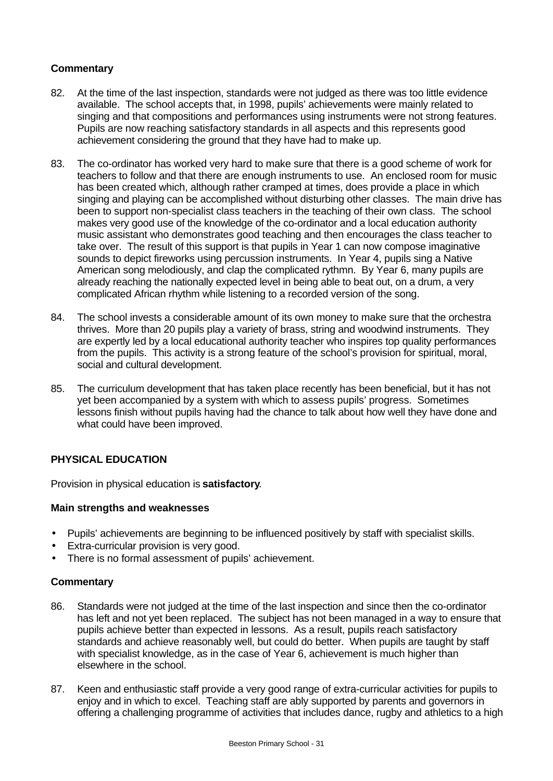#### **Commentary**

- 82. At the time of the last inspection, standards were not judged as there was too little evidence available. The school accepts that, in 1998, pupils' achievements were mainly related to singing and that compositions and performances using instruments were not strong features. Pupils are now reaching satisfactory standards in all aspects and this represents good achievement considering the ground that they have had to make up.
- 83. The co-ordinator has worked very hard to make sure that there is a good scheme of work for teachers to follow and that there are enough instruments to use. An enclosed room for music has been created which, although rather cramped at times, does provide a place in which singing and playing can be accomplished without disturbing other classes. The main drive has been to support non-specialist class teachers in the teaching of their own class. The school makes very good use of the knowledge of the co-ordinator and a local education authority music assistant who demonstrates good teaching and then encourages the class teacher to take over. The result of this support is that pupils in Year 1 can now compose imaginative sounds to depict fireworks using percussion instruments. In Year 4, pupils sing a Native American song melodiously, and clap the complicated rythmn. By Year 6, many pupils are already reaching the nationally expected level in being able to beat out, on a drum, a very complicated African rhythm while listening to a recorded version of the song.
- 84. The school invests a considerable amount of its own money to make sure that the orchestra thrives. More than 20 pupils play a variety of brass, string and woodwind instruments. They are expertly led by a local educational authority teacher who inspires top quality performances from the pupils. This activity is a strong feature of the school's provision for spiritual, moral, social and cultural development.
- 85. The curriculum development that has taken place recently has been beneficial, but it has not yet been accompanied by a system with which to assess pupils' progress. Sometimes lessons finish without pupils having had the chance to talk about how well they have done and what could have been improved.

## **PHYSICAL EDUCATION**

Provision in physical education is **satisfactory**.

#### **Main strengths and weaknesses**

- Pupils' achievements are beginning to be influenced positively by staff with specialist skills.
- Extra-curricular provision is very good.
- There is no formal assessment of pupils' achievement.

- 86. Standards were not judged at the time of the last inspection and since then the co-ordinator has left and not yet been replaced. The subject has not been managed in a way to ensure that pupils achieve better than expected in lessons. As a result, pupils reach satisfactory standards and achieve reasonably well, but could do better. When pupils are taught by staff with specialist knowledge, as in the case of Year 6, achievement is much higher than elsewhere in the school.
- 87. Keen and enthusiastic staff provide a very good range of extra-curricular activities for pupils to enjoy and in which to excel. Teaching staff are ably supported by parents and governors in offering a challenging programme of activities that includes dance, rugby and athletics to a high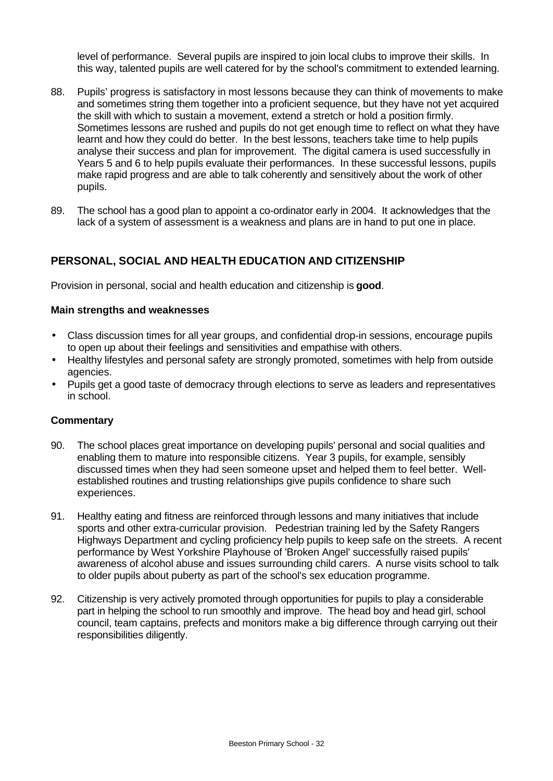level of performance. Several pupils are inspired to join local clubs to improve their skills. In this way, talented pupils are well catered for by the school's commitment to extended learning.

- 88. Pupils' progress is satisfactory in most lessons because they can think of movements to make and sometimes string them together into a proficient sequence, but they have not yet acquired the skill with which to sustain a movement, extend a stretch or hold a position firmly. Sometimes lessons are rushed and pupils do not get enough time to reflect on what they have learnt and how they could do better. In the best lessons, teachers take time to help pupils analyse their success and plan for improvement. The digital camera is used successfully in Years 5 and 6 to help pupils evaluate their performances. In these successful lessons, pupils make rapid progress and are able to talk coherently and sensitively about the work of other pupils.
- 89. The school has a good plan to appoint a co-ordinator early in 2004. It acknowledges that the lack of a system of assessment is a weakness and plans are in hand to put one in place.

# **PERSONAL, SOCIAL AND HEALTH EDUCATION AND CITIZENSHIP**

Provision in personal, social and health education and citizenship is **good**.

#### **Main strengths and weaknesses**

- Class discussion times for all year groups, and confidential drop-in sessions, encourage pupils to open up about their feelings and sensitivities and empathise with others.
- Healthy lifestyles and personal safety are strongly promoted, sometimes with help from outside agencies.
- Pupils get a good taste of democracy through elections to serve as leaders and representatives in school.

- 90. The school places great importance on developing pupils' personal and social qualities and enabling them to mature into responsible citizens. Year 3 pupils, for example, sensibly discussed times when they had seen someone upset and helped them to feel better. Wellestablished routines and trusting relationships give pupils confidence to share such experiences.
- 91. Healthy eating and fitness are reinforced through lessons and many initiatives that include sports and other extra-curricular provision. Pedestrian training led by the Safety Rangers Highways Department and cycling proficiency help pupils to keep safe on the streets. A recent performance by West Yorkshire Playhouse of 'Broken Angel' successfully raised pupils' awareness of alcohol abuse and issues surrounding child carers. A nurse visits school to talk to older pupils about puberty as part of the school's sex education programme.
- 92. Citizenship is very actively promoted through opportunities for pupils to play a considerable part in helping the school to run smoothly and improve. The head boy and head girl, school council, team captains, prefects and monitors make a big difference through carrying out their responsibilities diligently.